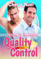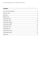## **Contents**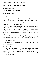# <span id="page-2-0"></span>**Love Has No Boundaries**

### *An M/M Romance series*

## **QUALITY CONTROL By Cherie Noel**

## **Introduction**

The story you are about to read celebrates love, sex and romance between men. It is a product of the *Love Has No Boundaries* promotion sponsored by the *Goodreads M/M Romance Group* and is published as a free gift to you.

## **What Is Love Has No Boundaries?**

The *Goodreads M/M Romance Group* invited members to choose a photo and pen a letter asking for a short M/M romance story inspired by the image; authors from the group were encouraged to select a letter and write an original tale. The result was an outpouring of creativity that shone a spotlight on the special bond between M/M romance writers and the people who love what they do.

A written description of the image that inspired this story is provided along with the original request letter. If you'd like to view the photo, please feel free to join the [Goodreads M/M Romance Group](http://www.goodreads.com/group/show/20149-m-m-romance) and visit the discussion section: *Love Has No Boundaries*.

Whether you are an avid M/M romance reader or new to the genre, you are in for a delicious treat.

## **Words of Caution**

This story may contain sexually explicit content and is **intended for adult readers.** It may contain content that is disagreeable or distressing to some readers. The *M/M Romance Group* strongly recommends that each reader review the General Information section before each story for story tags as well as for content warnings.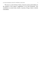This story is a work of fiction. Names, characters, places and incidents are the products of the author's imagination or are used fictitiously. Any resemblance to actual events, locales, or persons, living or dead, is entirely coincidental.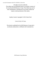All rights reserved worldwide. This eBook may be distributed freely in its entirety courtesy of the *Goodreads M/M Romance Group*. This eBook may not be sold, manipulated or reproduced in any format without the express written permission of the author.

## Quality Control, Copyright © 2013 Cherie Noel

## Cover Art by AJ Corza

This ebook is published by the *M/M Romance Group* and is not directly endorsed by or affiliated with Goodreads Inc.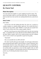# <span id="page-5-0"></span>**QUALITY CONTROL By Cherie Noel**

## **Photo Description**

Two men stand close together at a park, laughing toward the camera. The man in front holds a baby in a soft, blue denim dress. The man holding the baby has dark brown hair and the one standing behind him has sandy brown hair.

## **Story Letter**

## *Dear Author,*

*See the man on the left, holding that baby? Yes, that's me. I worked in a condom company as a quality product supervisor. You* would *think that it would get me lots of dates, right? WRONG. It seems that once people know where I work, all they want is free condom samples. Damn it.* 

*But then I met this guy (you decide HOW) and he has this most amazing baby—I could fall for him, I swear. But then he told me HOW he ended up with the baby. Broken condom. And it's the condom products from the company where I work. In which* I *am responsible to supervise the quality.*

*\*head desk\**

*How can I possibly have my HEA with him?*

*PS: I don't want the other guy to be straight—he can be gay or bisexual or experimenting during the night in which the baby is created. And please, don't let the female character (a.k.a. baby mama) be a bitch or irresponsible or anything bad. In fact, I would love it if the baby mama is still around and the two of them make an agreement to raise the baby together (they are NOT married or live together). I want the female character to be portrayed well, in positive way. No bitching the female character, please*

*Sincerely,*

*Ami*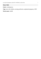## **Story Info**

**Genre:** contemporary

**Tags:** men with children, nursing profession, unplanned pregnancy, HFN

**Word count:** 24,698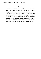#### *Dedication*

<span id="page-7-0"></span>Because love truly has no boundaries, and because Ami asked, I got to meet the lovely boys of Quality Control. Thanks also go to all those at the Goodreads M/M Romance group who work so tirelessly to make the group run and be able to sponsor fabulous events like this. Oodles of gratitude go to the real life Sasha, who inspired my main character's fictional best friend. And as always, special thanks go to my dear Balthazar for giving me the push I needed right when I needed it. Because of him I will always yearn and strive to become the best writer I can.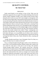## **QUALITY CONTROL By Cherie Noel**

#### PROLOGUE

<span id="page-8-0"></span>Paulie stared blearily at the machine in front of him. What were the calibrations supposed to be set at again? The numbers blinking at him from the monitor looked completely foreign to him, despite having overseen others doing this job for nearly two years. He'd come straight in as management. Jeff, his mentor and surrogate father, had insisted he take the position once the plant was up and running. He heartily wished for the millionth time that at least two of his quality control staff would come back from sick leave. He was no damn good at their jobs. Shivers raced up his spine, followed by a sneezing fit that had him falling half off the stool he sat on. He banged his elbow hard against the console, scraping against one of the multiple toggle switches standing like tiny little black-clad sentinels on the far left side of the monstrous machine. The techs who usually worked in here called it "Pinky", claiming they were the brains of the operation. The two guys who worked on Paulie's shift were both skinny little guys, so it was probably easy for them to move around in here without banging into "Pinky" and sending shafts of white hot fire lancing up though the bones of their arms. Paulie clenched his elbow, moaning and mumbling.

"Aarrgh. Shoulda stayed home. Jesus Christopher Christ! No, Mary on a moped with baby Jesus in a basket on the back!"

He sat, watching through the big Plexiglas window in the wall directly in front of him, as the automated machines inflated condom after condom with air to check for weak spots or with water to test for leaks. The machines whirled through endless motions. The condoms moved like a dizzying, multicolored, all-condom musical. Paulie giggled to himself for a second until his vision wavered. He shook his head to clear it, but that only made him feel dizzier. His mouth pinched at the corners as a stronger wave of nausea rolled through his midsection and pushed a sourly acidic taste up the back of his throat. He'd been the first one hit with this rotten flu bug, right as he was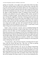getting over bronchitis, so he ought to have gotten better before the others came down with the malady. He refused to stay home today, especially after he got the call that Tim and Carl had both called in sick. Sweat popped up on his brow, his face flushed, and he lurched to the side to empty his stomach into the half-full wastebasket next to him. Oh, gross. His stomach heaved again at the sight of readily-identifiable chunks of multigrain bread smeared with strawberry jam splattered across the wadded up office memos and half of yesterday's evening newspaper. The hot, bitterly pervasive scent of bile rose up to envelop him, triggering a fresh bout of heaving stomach muscles, but there was nothing left to come up other than a thin dribble of saliva from his mouth. A small, defeated whimper escaped his ravaged throat. He wanted to lie down and wrap up in the cool cotton sheets of his own bed so badly his eyes stung, but he couldn't go home. He'd promised Jeff they'd make the quota needed for this first shipment to the new client, a small family owned chain of drug stores located in and around Syracuse.

Paulie's vision wavered for a moment, and was something beeping? He turned his head back and forth, to listen to both sides of the room with his good ear. God, if he didn't owe Jeff everything for taking him in when his papa had tossed him out for being gay, he'd have his well-padded Sicilian ass firmly planted in his big brass bed. Jeff had made him stay in high school, put him through college, and even offered him this job when Paulie's old quality control job got downsized right out of existence. Another wave of nausea washed over him. Paulie moaned again before reaching over and tying up the sourly stinking bag in the waste can.

"Two more hours—that's all I have to last for. I can hang on for two more hours until the second shift gets here. Then they can finish up getting everything boxed and ready for the truck in the morning."

Pausing, he swallowed thickly. Oh, crap, he was talking to himself like crazy old lady Guthries who lived down the block from him on Ashworth Place. Another wash of heat rolled over him. Raising bloodshot eyes to the glassseparating him from the very expensive machines busily testing condom after condom for microscopic holes, he pushed a hank of dull, nearly black hair off his forehead. His mama would cry if she saw him looking like this.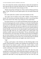First, she'd whack him with the wooden ladle she cooked with and shriek for him to get his idiot ass in the bed, and then she'd cry. Paulie sighed. Over six years later, he still missed his mama fussing over him.

"Maybe one day Papa will forgive me. Then I could visit Mama and Teresa again, at least. The boys are never gonna speak to me, but maybe Mama and Teresa…"

His words trailed off as another wash of heat flooded over him.

"Ah, I don't care if I sound as crazy as Mrs. Guthries. At least I listen to myself. Jeff's the only one who does, besides me, and he's way too busy these days to have time for the whiny crap coming out of my mouth lately."

Four quick sneezes in a row nearly knocked Paulie off the stool again. He braced one hand against the console, reaching over to the left to find the jumbo cup of tea he'd made half an hour ago in hopes it would help him make it through the rest of his shift. His team was supposed to test this entire batch of condoms and get them boxed up, but there was no way he could do all that by himself. Besides, as sick as he was, he really shouldn't touch the product at all, except from right where he was, safely sealed in the control booth. The machines wouldn't sneeze all over the product. The tea, cold and bitter, made hisstomach heave a few more times. His mama swore by hot tea for helping to get over minor ailments. Even if the crap out of the box didn't taste quite as good as what she brewed up in her fancy rose-covered china teapot, he still felt kind of obligated to drink at least one mugful a day when he was sick.

"Ugh."

Casting a quick glance at the Christmas tree like blinking lights of the console, Paulie guessed it wouldn't hurt anything if he skooched over to the break room for two minutes to make a fresh cup. A little weaker, a touch hotter, and the stuff would morph fromgrosser than licking a slug's balls, to as warmly comforting as his mama's kitchen in the winter.

Paulie sniffed. Okay, so maybe slugs didn't have balls. But if they did, licking them would be pretty much the grossest thing he could think of. His stomach gave a warning little lurch, so Paulie dropped that line of thought. He pushed the same hank of overly long dark brown hair out of his face, and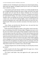wobbled to his feet. Wrinkling his classic Roman nose and pressing his plump, dusky-pink lips together, he gingerly picked up the waste can to dump and rinse it while he was there.

As he turned to push open the door with his ass, he dimly thought that the new red lights flashing among the blue, green, orange, and yellow ones made the console look even more like his mama's Christmas tree. He sneezed, stumbled backwards, and bumped into a solid form. Craning his neck around, he found himself looking a few inches up into the blue-gray eyes of Ryan Saunders. Ryan was making a face; his eyes, which always reminded Paulie of a storm at sea, were wide and watering slightly. Ryan's nostrils flared as he swallowed repeatedly and a small, tight smile flickered on and off his firmlipped mouth. With one last convulsive movement of his throat muscles, he spoke.

"Geez, Paulie, you look like shit. Why don't you—oh sweet fuck, how long have the warning lights been on?"

Paulie peered back through the window in the quality control room door. Ryan was pointing at the pretty Christmas lights. Flinging an arm up to cover his nose as he started to sneeze again, Paulie managed to soak the entire front of hislast almost-clean shirt with cold tea. The short-sleeved button-down had been one of his favorite work shirts, but that was all over now. The light green material sucked in the dark brown color of the tea like a cactus sucks in water. The sea foam shade would never look the same again. Paulie sniffed, gagging a bit as a big glop of snot ran down the back of his itching throat. Ryan jumped back at the noise, his gorgeous eyes taking on more of a steel gray color and widening as he took in the object in Paulie's other hand. Paulie blinked at him. What had he asked? Oh, he wanted to know about the lights.

"The blue and green ones were there all along. Um, but the pretty red ones just started."

Paulie swayed on his feet. Ryan caught hold of his upper arm, a frown flitting across his face as he touched Paulie.

"For Christ's sake Paulie—here, lean against the wall. I gotta stop the machines."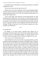Ryan hustled into the control booth, swearing at the machinery as it whined and groaned to a halt.

"Oh, for fuck's sake, turn off, turn off, turn off!"

Moments later, he was back, reddish brown brows pinched together tightly, and wide, sensuous mouth in a pinched line as he spoke into the shiny black cordless handset pressed to his ear. Huh. How about that? Paulie hadn't even noticed him calling anyone.

"Yes sir, that's right. I don't think he can drive himself home. No. That would be great, Mr. Murchison. Yes, thank you. No, Paulie said it just started. Yes. I'll reset the machines and retest everything that went through in the last five minutes. Yes sir, I think we can still make the order for the new client up in time. I'm going to take his car keys and get him situated in the break room. All right, I'll make sure he knows. Yes, he'll be there waiting for you. Okay. Good-bye, Mr. Murchison."

\*\*\*\*

#### *Two months later*

Eli blinked at his bestie Sasha's beautiful heart shaped face in astonishment. She didn't appear to have hit her head. Eying her head carefully, he couldn't detect any discernible damage. No bruises showed on her forehead, and no goose-eggs pushed her perfectly arranged red curls awry.

"Have you lost your fucking mind, Sasha?"

Sasha blinked back at him, her dark blue eyes gazing steadily up at him. Long black lashes fanned against her cheeks as she blinked at him. Tilting her head to one side, she pursed her pouty looking lips tightly together and gazed up toward the left for a moment. The sun beat down on them as they stood near the center of the cafeteria courtyard. The warm rays combined with her body heat enhanced the faint touches of jasmine scented oil Sasha was obsessed with wearing. The other students bold enough to brave the unusually hot day by eating outside were all lounging around the edges of the space in the shade provided by strategically placed overhangs and a few patio tables with big navy blue and white striped table umbrellas. He and Sasha leaned against a big rectangular slab of white concrete. The kids at the school all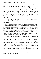laughingly referred to the thing as make-out rock, because you couldn't even sit too close to a member of the opposite sex there without Mr. Raychik, the kitchen and cafeteria workers' supervisor, practically having a coronary.

Sasha had one hip leaned against the structure, the hand on that side idly picking at the remaining fruit from her lunch, and the other hand tucked into the pocket of her boot-cut jeans. Pushing aside a wedge of orange in favor of the large green grapes that were left, she popped one in her mouth, chewing slowly as she seemed to give serious consideration to Eli's question about her mental state.

"Hmm, no I don't think I have, Eli. You know I always have somebody trying to get me to do it. And I want to. Like I mean, I really want to, you know? But…"

Sasha broke off, a tide of red washing through her cheeks before she tipped her head down, hiding the midnight blue of her incredible eyes. Eli regarded her downturned head thoughtfully. Though he'd never been with a girl, he liked them well enough. He just liked boys better as far as fooling around went. There was something to what she was saying though. He'd never gone all the way with someone for nearly the same reason. He wanted it to be somebody he loved. Christ, he was actually gonna do this, wasn't he? Snorting, he reached under her chin and lifted her face up.

"Okay, Earthgirl, but you better not turn green and scary after dark, or actually be taken over by an evil alien from some crystal planet, 'cause we're gonna have to wait 'til my parents go to that work thing of Dad's this weekend. The evil alien will totally eat your brains before I can save you if that's what's going on. So... okay. I get it. And, seriously, I'm kinda glad you thought of this. I haven't gone all the way with anybody else yet either. I bet I haven't had full-on sex for all the same reasons as you, or at least for most of them. So, um… just let's have no weirdness after, okay? We're not gonna pretend we're boyfriend and girlfriend, okay? That would just be too weird for this Spaceman."

Sasha, laughing as she made a far too realistic gagging noise, smacked the back of her hand into his stomach.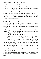"Hah. You should be so lucky, dork-boy."

Eli grinned crookedly down at her as a gust of wind sent his blondishbrown hair blowing into his face. He ran the long fingers on one hand down over the creamy pale skin of her nose.

"You're right, Sasha. If I could find a guy as great as you I'd marry him tomorrow. Are you sure you won't do the gender reassignment surgery?"

He'd meant it as a joke, to keep them from getting too spooked by the huge plansthey'd just agreed on, but Sasha stepped back, glowering hotly enough to cow even the bright red of her hair.

"That's horrible, Eli. I can't believe you'd mock trans people that way. I'm ashamed of you. Just forget it. I don't—"

Eli clapped a hand over her mouth as she started to get loud, praying she wouldn't bite him. Well, that she wouldn't bite him *again*. Lord knew she'd bitten him more than once over the years. Wench was waaaaay too free with her teeth.

"Oh crap, you're right. I'm sorry. That was a shitty thing to say. I know you're a girl and you like your parts just like they are, and you prefer to match them up with guy parts. I'm a dick. I'm sorry. I won't—I'm sorry, Sasha. I'd never say something like that in front of Michele."

Sasha's little sister, Michele, was five. She was also, according to Sasha, accidentally born into the wrong body, and Sasha was lobbying hard to have her parents take Sasha to see a psychiatrist so they could start the process of helping her transition before puberty gave her the bulky shoulders and low voice her accidentally-male body would force on her without medical intervention. She was winning too, as she'd already convinced her dad of the merits of at least getting a qualified doctor's assessment of the situation. Eli ducked his head to look her straight in the eye.

"Hey. At least they gave her a name that could go either way, so she won't have to pick a new name."

Sasha's frown eased, though her bottom lip still stuck out. Eli poked it with the tip of his finger. Batting his finger away, Sasha gave a reluctant sounding chuckle.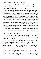"You really are a total dick. Why am I friends with you again?"

Eli shrugged. "I'm the only one who sees past that movie starlet face of yours to recognize the twisted sister living within."

Sasha choked, sputtered, and then burst into her trademark dying-donkey bray. She claimed the hideous noise was a laugh. Eli flashed a quick glance around the courtyard of the high school. A few faces turned toward them, but no one stared overly long. Thank God he and Sasha were both seniors. They were both going to college in the fall, though Sasha would be going to Syracuse University while he'd be headed for Onondaga CommunityCollege. His mom couldn't afford the big bucks to send him to S.U. like Sasha's folks could. Sasha's folks had wanted her to go away to a school like Yale or the University of Michigan. Fortunately, she, like Eli, had turned eighteen toward the end of this school year, and her parents felt the change to legal adult status meant she should have a bigger hand in deciding her own future, at least as far as where she went to college.

Sasha smacked her hand into the dark blue fabric covering the taut muscles of his gut again. "Oi. Spaceman. What are you wool-gathering about?"

Eli laughed, flicking his finger gently against her nose. "Yeah, Tenth Doctor and Donna all the way, huh?"

The bell ending their lunch period rang, and Eli leaned down to press a quick kiss to Sasha's cheek. "Make sure you tell your folks you're sleeping over at Taylor's on Saturday."

Sasha rolled her eyes at him. "Your sister is going to rat us out one day."

Eli lifted one broad shoulder negligently, the well-worn cotton of his favorite school shirt creasing with the tension. Buffing his neatly trimmed fingernails against his dark blue polo—chosen to match his girl Sasha's eyes, of course—he smirked down at her. "Nah. I have waaaaaaay too much dirt on her."

Sasha laughed as she turned to walk toward her fifth period chemistry class. Winking over her shoulder, she blew him a kiss while crossing her eyes. Eli's chest filled with warmth. He had the best life in the whole world. Two more weeks and high school would be over. Three months after that he'd be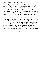starting college, along with his twin sister Taylor. And even though he couldn't afford the fancy school his best friend was going to, he wouldn't lose her friendship to distance and gradually diverging lives.

Hal Matheson bumped his shoulder as he stood staring after Sasha. "Hey man, I know your girl is smoking hot and all, but you better get your ass to class or Principal Jenkins really will give you detention every day until graduation. You know he has a total hard-on for you ever since the pot-belly pig incident last year."

Hal nodded down the hallway to where the dark haired, kinda-hot-for-anold-guy principal stood glowering at them both. The second bell rang, and Eli spun around, loping off toward his calculus class. God help him get through the rest of the school year without getting caught in the principal's crosshairs. Geez, he really hadn't meant for the pig thing to get so out of hand. It was supposed to have been funny. Eli huffed out a breath, and reached up to push his hair out of his eyes. He bolted through the door to his class and slid his ass onto the unyielding plastic seat of his desk just as the final bell rang. Whew. Two more weeks until his life started. Holy fuck, he could barely wait.

\*\*\*\*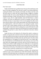#### CHAPTER ONE

#### <span id="page-17-0"></span>*Four Years Later*

Paulie stretched his back, gratified to hear the pop of the small bones at the base of his spine realigning. God, that felt so good. It just about killed him, working the doubles every Saturday and Sunday, but doing so let him work full time and go to school full time without having to juggle his schedule around too often. He went to school Monday thru Friday and worked all day Saturday and Sunday. It hadn't left much time for a social life, but for the first couple of years after he single-handedly ruined Jeff Murchison's condom company, he'd been too depressed to do much of anything. And since then he'd been too busy to worry about it. He was never going to be able to take back what he'd done to Jeff or all the other people who'd been affected by that one stupid decision—when he'd chosen to try running the quality control section of Jeff's small company all alone on a day when he was sick as a dog. No, he couldn't take it back, but he could go into a career field where he could help people. It would never make up for all the harm he'd caused, but maybe it would let him get back to a place where he could look in the mirror without flinching.

Paulie bit down on his bottom lip. He allowed his mind to continue to wander as he got his time card from its slot in the metal rack next to the time clock and waited for the secondsto count down until the clock read the correct time. Shaking his head, he slid the proper day and time space into place under the stamping device. He laughed, low and tired but still, it was a laugh, right? No one punched-out on old fashioned time cards anymore, not at any of the other places the temping agency sent him, and not at the first long term care facility he'd worked at while training for his certification. It was good that some of the things around here, like the so-last-century time clock, could inject a little humor into his days. He needed reasons to laugh after another grueling thirty-two-hour workweek crammed into two sixteen-hour days.

As back-breaking and soul-consuming as working in the nursing home could be, he got a lot of satisfaction out of the little moments. When he got someone to the toilet before they wet themselves, or got to mark off in his aide binder that someone got their shower on time, ate well, walked down the hall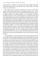with assistance, or finished a crossword puzzle. Those things would have seemed like nothing four years ago, but now he knew better. The little victories were the sweetest.

He wouldn't be here, wouldn't be anywhere if it weren't for Jeff. After Paulie set off the great baby boom of the greater Syracuse area—and he shuddered to think of what could have happened if Jeff had gotten the contract to supply condoms to vending machines in the local bars, he'd been horrifically depressed. God—it still pained him to contemplate all the things that could have gone wrong. Paulie could think of at least four gay bars where those things sold out so fast the resupply guy had to stop by four to six times a week. He didn't know about the straight bars, because he didn't frequent those, but he figured they likely had the same rates of condom usage. He could have killed people if they'd been drunk and dropping quarters in vending machines for Murchison Rubbers. At least the people who'd gotten the faulty condoms had most likely been sober—at least when they bought what they thought would protect them. Thankfully, thus far all the complaints had been in regards to unplanned pregnancies, and a few curable types of sexually transmitted diseases. There hadn't been any new cases of HIV linked back to the error, but Paulie still woke up some mornings afraid to turn on the television or pick up the paper.

Two good things—no, three, had come out of the whole fucked up chain of events. One, he'd learned that Jeff and Ryan were the best friends a man could ever ask for. Two, his mother had put her foot down and told his papa that he could either be the dad of a gay man or he could be the divorced dad of a gay man, because she was done mourning a son who lived right across town from her. Finally—and Paulie personally liked number three the best of them all, even though one and two were pretty damn stellar—Paulie found a career that he absolutely loved. He was just a few weeks away from graduating with his two-year degree. Once he passed the national testing, or nursing board exams, he'd actually be a registered nurse. His mom and sister were bursting with pride. His papa said it was a good job for a gay boy to have, because that way if he got the "gay disease" he'd know which ones were the good doctors for that sort of thing. Paulie was pretty sure that comment was gonna earn Papa a solid month or more sleeping in the guest room while Mama served him cold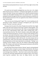food and discussed potential divorce lawyers with Teresa right in front of the old man.

#### \*\*\*\*

Eli stared into the beautiful midnight-blue eyes that were a few shades darker than his precious Adrianna's. Gritting his teeth together, he counted to twenty in his head. Ten just wasn't going to cut it. When he reached seventeen without any discernible lessening of the acid wash his brain was currently putting his stomach through, he bent down, picked Adrianna up, settled her on his hip and then pressed one of her ears against his chest while he covered the other with his hand.

"Have you lost your fucking mind? Again? No, I am not quitting my job and going to school. Adrianna's insurance is through my job. I pay for her daycare. You don't even have a job yet!"

Pausing to bite the inside of his cheek, Eli glanced around the clean, bright lobby of the mid-sized Unitarian Church they'd opted to attend together. This was not the place to have this discussion. Mrs. Peters was pretending to adjust the fit of her wide-brimmed sunhat while avidly watching them with a concerned look on her face. The church's minister, a short, perky middle-aged woman with shorter hair than his, was due to walk out of the meeting room at any minute, And while Eli liked the woman, he didn't know her well enough yet to feel comfortable discussing personal things in front of her. Worst of all, he couldn't send Adrianna to play with her pet, a fat, lazily tolerant old cat named Snickers, while a *Dora the Explorer*tape handily masked the sounds of him talking Sasha out of her latest leap-before-you-look plan. "Talking", as in arguing in furious whispers, about why she needed to think things through more. The whispers only lasted until Sasha got good and pissed, and told him loudly to stop acting like an old man.

He really hated when she gave himthe "old man" speech, one hand planted on her hip, the other waving an accusatory finger in his direction. She always talked about how he needed to take time for himself and that he shouldn't carry the larger share of the bills... dear God, it went on and on. But somehow, no matter how much they argued about him working two jobs, or her chronic, serial leap-first syndrome, they never let things devolve into bitter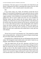recriminations. They had a great set of role models in the Tenth Doctor and Donna, so figuring out the whole co-parenting with a partner who was a best friend rather than a—well, a romantic partner came pretty easily.

Hah.

If easy meant crying a lot—Sasha, and Adrianna covered this end of things. Eli concentrated on holding down a pretty good job where he worked full time in a machine tooling shop, and another not so great part-time gig in a crappy warehouse. At the warehouse, he was basically a brute-force laborer, pulling heavy flats of various candies and sweets out to be assembled for differing vendors and then packed onto the proper delivery trucks. On weekdays, he worked from six in the morning until three in the afternoon at the machine shop, then picked Adrianna up from daycare, and kept her until six or seven when Sasha got home to their shared duplex from whatever classes and clinical rotations her day had held. Thanks to her parents cosigning on a loan, they'd been able to purchase an awesome side-by-side duplex and make minor modifications that enabled them to easily split time with Adrianna.

\*\*\*\*

"Oh my God, you aren't even listening to me." She stomped her sensible white nursing student shoe—did they have to make the things so damned ugly that even Sasha couldn't quite pull them off?

Eli squinted at her, wondering why she was still harping on this same tired subject. He'd thought the matter settled earlier at the church. Clearly he was mistaken. Sasha huffed out a body shaking breath.

"Take that stupid frown off your face, Spaceman, and listen for two seconds before you start in about how you need to keep working yourself to death. Eli, I got the job. The one I wanted up at the VA hospital. The pay isn't as high as some of the other hospitals around here, but the benefits are unbelievably good and they do the team nursing thing I liked so much in my clinicals. You can quit the crappy warehouse job. Go part or three-quarter time at the machine shop so you still have health care, but damn it, go to school.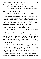Get your degree. Have two minutes a day that aren't about Adrianna and me. For Christ's sake, fucking go out to a bar. Have a drink. Get laid."

When her eyes filled with crystalline tears, shimmering and tugging at every single raw place inside him, he knew she'd won. Damn her and her ugly white leather nursing student shoes anyway.

"What… wait. Did you just say you got a job? How? You haven't even graduated yet."

Sasha smirked up at him, her pretty mouth twisted into a ridiculously smug cupid's bow that every single one of the glaringly hetero dudes he worked with would give their left nut to get near. Not that any of them were good enough for his best friend, so he'd warned them all off. She laughed, reaching up to pull the neon blue Scunci brand hair band she wore in her hair to fuck with the latest clinical instructor's neurotic sense of propriety.

Buffing her nails on the front of her garishly-white scrub top, Sasha quirked a gingersnap reddish-brown eyebrow at him. "Yep."

She made sure to pop the *p* at the end of the word as annoyingly as possible, grinning wider when he gritted his teeth.

"Sasha, give over. How is that even possible?"

Whirling around, she flopped down on the cool—well, Eli thought it was cool even though the first time Sasha saw the blue leather sofa he'd found second hand at the Goodwill she'd smirked, pointed at him and trilled out the words, "Super-Gay". Wrinkling her nose at him, she stretched her legs out in front of her, curled one hand behind her neck and used the other to pat the sofa cushion next to her.

"Nurses are in really high demand, Spaceman. It's one of the reasons I liked the career so much. Good job security. So, I get that plus the bonus of most places being willing to hire us right out of school, and let us work as graduate nurses while we're waiting to take the Nursing Board'slicensing test. You know, the NCLEX I keep whining about studying for? Close your mouth. Yes, I got a job."

Eli thought about that. Whoa. No wonder she'd insisted on going into nursing. She got her degree in two years, and fromwhatshe'd been telling him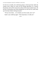for the last six months, she could keep going to school part-time while she worked, and in about six years be the nursing equivalent of a General Practitioner with an M.D. license but without all the insane student loans. All the bits of information she'd been feeding him over the last few weeks lined up in his head, finally clicking into place.

"Oh my God, Sasha… we're finally out of the woods, aren't we?"

Sasha's eyes welled up again. "Yeah, Spaceman, we really are."

\*\*\*\*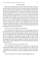#### CHAPTER TWO

<span id="page-23-0"></span>Paulie eyed the suddenly blank screen in front of him, hands sweating as he tried to believe that the test had cut off so quickly because he'd passed with the least possible amount of questions asked. The sudden shut off could also mean that he'd failed miserably. Oh, God, what if he'd failed? What if he was the most miserable failure ever in the history of the NCLEX? His normally dark olive skin paled to a shade far too close to white. He bit the inside of his cheek and smacked his thigh. There was no way he was going to pass out in the middle of the scrupulously tidy NCLEX testing site. Not only was the place way out in a suburban shopping complex that he'd never be able to get back to on a bus if he got carted away in an ambulance, but he'd be forever known as the gay guy who fainted at the nursing licensure exam. His father would never shut the fuck up about it, and he really didn't want to be the cause of Mama and Papa finally getting that divorce Mama threatened Papa with practically every other week at this point.

"If you're done, it's all right to get up and leave."

His startled grunt didn't disturb everyone in the testing room. The girl at the far end of the room, wearing jeans and a hot pink Nerds shirt didn't even flinch. Then again, Paulie knew from being in a clinical rotation with her that she was profoundly deaf. She wouldn't have heard a freight train roll through the room. Wiping his sweating palms against the light tan fabric of his Dockers, he glanced up at the little woman standing next to his chair, with her mouth agape and one thin hand clutched over her heart. His smile came out then, an anorexic thing wobbling at the corners and doing nothing to hide how freaked out he was.

"Sorry. I didn't expect anyone to touch me. Sorry."

Wire rimmed glasses slipping down the sharp line of her thin nose, the testing monitor nodded at him warily. Paulie raised his brows, waiting for her to step back so he could get up without knocking into her. The woman continued to hover where she was. A spark of temper lit at the back of Paulie's mind.

"Do you mind, ma'am? I can't get up without bumping into you."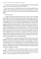The woman cleared her throat, pointing behind him with one frail looking finger. "Ah, you need to tell the test you're finished."

Paulie spun around to find the blinking cursor and blank page had been replaced with a message asking if he was okay with exiting the test, or if he wanted to review his answers. His cheeks heated and his right leg started to jiggle.

"Oh. Um, thanks."

A strange, constricted sound issued from the woman's throat. Flinching back slightly, Paulie found himself automatically assessing her for signs of distress. Her face was growing redder by the moment. She nodded and spun in the opposite direction. As he took in her shaking shoulders and listened again to the rhythmic noise she was making, Paulie realized she was trying to stifle laughter, probably at his dorky behavior. Well, at least she was nice about it. Shaking his head at himself, Paulie sent a quick prayer winging toward who or whatever might deign to answer to help him pass, or at least not die from the knots in his stomach before he got the results back in two days. He'd heard that they used to have to wait weeks and weeks before getting their test results back. Pushing the button to select the 'yes please close the test' option, he snorted softly to himself. Glad he hadn't taken his exam back then, he heaved a sigh as he levered himself up out of the chair. He was pretty sure he'd never have lived through the torture of waiting that long.

A red-haired girl he remembered vaguely from one of their lecture classes together stood up at the same time. She smiled as they walked out the door, hiking the strap of her white and blue sundress over her shoulder as she blew out a huge gust of air. Geez. She looked way too small to hold that much air in her body. Sticking out one hand in greeting while she used the other to push a hank of coppery hair out of her face, she started talking in a melodic rush that would put a xylophone to shame.

"Hey, I remember you from the Cardiac rotation. You were in 'Black Mamba's' clinical, weren't you? How'd you do? On the test I mean—I couldn't tell, it cut off so fast and maybe I totally failed but at least I have a job already—did you get picked up at the job fair like I did?"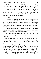Paulie blinked at her, nervously straightening his favorite charcoal grey hoodie's sleeves. It didn't match the tan pants he had on, not really, but he made them sort of work by wearing the black Converse All Stars he'd found at the thrift store by his little three room apartment. The girl was watching him out of the most incredible midnight-blue eyes. She looked like something off a runway with the startling mix of copper and flame tones in her hair—it had to be natural, because no nursing student could afford the kind of hairdresser who could pull off that level of believable variation.

"Um. Job fair?"

The cupid bow lips parted, rounding into an O-shape that told Paulie he'd missed something important. Great. Even Nursing Student Barbie was two steps ahead of him. He mentally smacked himself for the unkind thought. From the little he recalled about her, the girl was a nice enough sort. Her mouth was moving though, so he tried his damnedest to rein his brain in to pay attention.

"Oh my God, you didn't go to the job fair? They even held it on Saturday afternoon so no one would have a conflict with classes or their clinical rotation. Geez, have you been hiding under a rock?"

Paulie's cheeks flamed in mortification. "Um. Yeah. That's a pretty good description of the past few years. Ah, nice to see you. Good luck with the test and all. Bye."

Paulie turned and trotted away as quickly as he could without looking like he was running from her. He was out of breath halfway across the parking lot to where his pathetic excuse for a car wassitting. Gah, he really needed to start getting more exercise now that he was done with school.

Of course, the slightly gasping breaths might have more to do with the mild panic attack trying to sneak up on him, but he wasn't going to admit to that. He was done with those, and once he had an actual nursing job, maybe he'd join a gym. He patted his less than firm midsection with one hand, wishing he'd opted to wear just a T-shirt that morning instead of giving in to his desire to wear the hoodie. As light and comfortable as the soft gray cotton of the jacket was, he could feel sweat starting to pool in the dip where his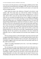lower back ran into the ginormous swell of his jiggly, bubbled-out butt. Well, at least his butt seemed ginormous and jiggly to him. His sister Teresa said she would kill to have a nice ass like his, but she was his sister so of course she said nice things about him.

Paulie shook his head at the reflection of himself in the driver's side window. Nah. The sweaty back was worth all the comfort of having his chubby belly covered so he didn't obsess about it during the test. A waft of salty, fetid air blew across his face from the little wetland area in front of where his car was parked. He pulled his keys out of a slightly too tight pants pocket, gazing out over the marsh sprawling out from behind the building where the testing center was. Fumbling, he dropped his keys. Of course, the damned things skidded halfway under his rust-bucket of a vehicle. Crap. The old Nova sat too low to the ground for him to get his thick body under there. This wasn't the first time he'd dropped the keys and had them end up under the car. If he was home, he could get one of the kids from the block to shimmy under there and fetch them out. Well, maybe he'd be able to reach if he kneeled beside the car and stuck his arm under. Squatting quickly, and then kneeling with his face pressed to the pavement as his eyes scanned the underside of the car, Paulie searched for the tell-tale silver shimmer of the keys…

The low purring sound of a well-tuned engine crept closer and closer until it stopped immediately behind him. A car door opened and then closed with a thunking sound. Paulie wondered if that was the girl's ride picking her up. Grunting he wiggled a little as he tried to shove his arm farther under the car. He could swear he'd seen—

"While I'm terribly entertained by the view, I can't help wondering if you'd like some help?"

The rich deep tones of the voice danced across his ears in the same way a pancake drenched in a puddle of Mrs. Butterworth'ssyrup would dance across his tongue. His stomach clenched, his breath stilled in his chest, and he immediately sought to drop his rear end down, tuck his legs under him and spring effortlessly to his feet. He'd clearly lost all sense of who he was. Attempting to jerk upward with an arm half under over two tons of steel and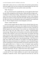rubber didn't really work out so well for Paulie. He lurched up about half an inch, got caught on his own arm, and then face planted against the side of his own car. Fire exploded in his nose and his vision went white.

### "Shib. Tha hursss."

Oh, crap. The last time he sounded like this was the night his father broke his nose while tossing him out the front door. Mama had been at bingo, and avoiding the whole divorce thing—Paulie had never told her about it. He wasn't even sure if the blow had been intentional or more of the collateral damage he wound up carting around after that night. Bracing one hand against the side of his Nova, he extricated his other arm completely from underneath the car. Then he flopped around to land inelegantly on his butt.

"Thorry. I thinb I boke iith."

With one hand cupped under the edge of his jaw directly below his nose, Paulie vainly attempted to capture the warm, bright red rush of fluid filling his cupped palm quicker than he could figure out what to do with it. Wincing, he flicked a glance up to send whoever it was on their way. Scuffed black work boots led to long, lean and—Baby Jesus in a sidecar—mouthwateringly muscular legs. The guy had to be at least three to four inches taller than Paulie, and dear God in Heaven, every one of those inches was packed with long ropes of muscle. Paulie swallowed thickly as his gaze slid past the man's rock hard thighs to the rather large bit of divinity he cradled at their apex. Hoping he hadn't let his gaze linger on the f-ing amazing package—holy Moses on a pogo stick, Paulie had no doubts he was going to be seeing that gorgeous bulge in his dreams and fantasies for a long time to come. He jerked his gaze upward, jumping past a forest green Henley and what he suspected were some truly gawk-worthy abs to a land on a face of chiseled, nearly god-like perfection. Reaching up to confirm the goose-egg he must have on his forehead to be seeing Roman demigods come to life, Paulie was surprised to find only smooth skin. The guy's sandy brown brows drew together.

"Hey, buddy. I didn't mean to make you hurt yourself. Damn. Hang on for a second and I'll see if Sasha stuffed an ice pack in that nursing student emergency wonder-kit of hers. And I'll grab the towel from my work out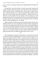bag—it's clean. I was going to the gymafter I dropped Sasha and Adrianna off at home."

He loped back toward the Subaru, all sleek male animal, buzzing with energy and alpha in his prime intensity. The long thick muscles made Paulie's mouth water just a little. Looking like that—not an ounce of spare flesh on him—and hurrying back to a car with the beautiful Sasha waiting, his fine male form was just another that Paulie would have to admire from afar. So, Paulie sat on the pavement that was starting to burn his plump ass a little through what used to be his second best dress pants. He pressed the hand not trying to stem the flow of blood from his nose against his soft, round little pooch of a belly and sighed very, very quietly.

Maybe someday he'd find a gay man who wanted a chubster like him. Hah. Maybe he'd find a way to fix everything he'd ruined for Jeff too, right after he won the lottery and got declared Mr. Universe in the same People Magazine issue where Andrej Pejic lamented the fact that he'd never been brave enough to ask the uber-hot Paulie Bellizi for a date. He was still chuckling painfully when a set of slim feet encased in brown leather sandals and topped by glittering toenail polish in bright pink edged into his line of vision.

\*\*\*\*

Holy fucking hotness, Batman. Eli paused for a second with his hand on the top of the Subaru, breathing deeply as he tried to will his unruly cock to stand down right the hell now. Okay, so maybe he'd been celibate for too damn long. Maybe hearing that he was going to be able to start having a life that didn't revolve around making sure Adrianna and Sasha had what they needed had pulled his libido out of the deep freeze and set it out in the corner to thaw. Either way, it somehow still seemed just wrong to spring wood when a—admittedly smoking hot—guy nearly knocked himself out at your feet. But Goddamn, that was a double handful of yummy man back there. Even with the painful misplacement of his nose distorting things, he had the sweetest Little Italy accent Eli had ever heard. Eli could so see himself pinning the round cheeked, olive skinned guy to his mattress and fucking him within an inch of his life. The big brown eyes and that dark brown hair waving over his forehead were absolutely delicious. Even better was that flash of something—needy and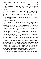vulnerable in the man's gaze. It looked sweet and shy; Eli could see himself giving the man just what he needed until they were both sweaty and spent. Vivid flashes of just what that might look like flooded Eli's brain. So. Not. Helping. Shit.

A tapping on the driver's side window had his eyes springing open. Sasha's face was looking out at him, her nose wrinkled in that way it did when she was trying not to laugh. The strap of her favorite sundress fell down her shoulder, revealing a dark tan line. A heavy pang of sweet warmth shot through his chest. Eli was damn glad he'd caved and bought her the thing last year for her birthday. She'd been feeling so down, struggling in school and just so damn sad all the time.

*The night before they went shopping for Adrianna's spring and summer clothes, he'd overheard her on the phone with her mom. She'd been crying, telling her mom how she wasfat and ugly now with stretch-marks all over her belly, and she didn't know what she was going to wear when summer came because they couldn't afford new clothes, except for Adrianna. So after she hung up, Eli had swallowed the bittertaste of his pride long enough to call his mum up and see if she could lend him a hundred bucks until he got paid the next time. The next day he'd bought Sasha the sundress and a pretty gold and blue bikini. She'd tried to make him take back the bikini, saying she couldn't wear one. Eli had laughed at her and then told her she should be proud of her silverlining showing. She'd looked at him like he was crazy, and he'd grabbed her in a big bear hug.*

*"Listen, Donna" he'd said, affecting a very David Tennant as the Doctor stance and an English accent so bad it was a wonder the Anglophile Accent Police of America didn't slap a huge fine on him, "I don't know what anyone else has been telling you, but every time I see those marks I think about how my best friend took what could have been the darkest day of our lives and turned it into the most precious thing in the world. Don't you put down those warrior marks in my hearing, okay Donna? I don't think I could bear it."*

*She'd sniffled, and then replied with this. "Oi, Spaceman, now you've gone and made me ruin my face."*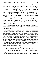*She started coming to the gym with him after that, and they'd taken turns working out while the other one watched Adrianna. As soon as they put the word out that they weren't a couple, she'd been surprised, and pleased, to find herself on the receiving end of numerous invitations to dinner, drinks, and even a hot air balloon ride. Though after Eli had informed the guy that he'd better treat her like a lady or Eli would rearrange every molecule in his body via a good old-fashioned ass-whooping, he'd slunk off like the snake Eli had suspected him of being all along. But seriously, who asked someone out on a hot air balloon ride as a first date? That was a psycho move.*

Sasha tapped at the glass again. Eli blinked. The noise recalled him to the present, and he stepped back, bending down to see her face better before motioning for her to roll the window down. Once she had it down a few inches, he started to speak.

"Hey, your friend from nursing school kind of broke his nose against the side of his car. Do you have an ice pack in that monstrous first aid kit you made me put in the car?"

The laughter fled Sasha's face. She'd only been in one clinical rotation with Paulie, but nursing school was a lot like going to war. The other students were your fellow soldiers, guarding your back in the dangerous nearly militaristic maneuvers where you fought the actual illnesses, as well as your own lack of experience. The instructors were like drill sergeants trying to beat every hit of weakness from your nursing skills, and the patients were the territory you sought to conquer. Even one day spent together would have been enough for Sasha to learn a lot about Paulie. After a whole semester guarding each other from the gimlet eyes of their instructors while trying to give the patients assigned to them the best care possible she knew more about Paulie than any ordinary acquaintance would.

"Oh, no! Poor Paulie… he's always been kinda clumsy, but I never saw him actually hurt himself before. Sh—oot. Sugar, honey, iced tea."

She grimaced, pointing toward the back seat where Adrianna watched them avidly as she sucked on three fingers and clutched a stuffed monkey to her chest. Her eyelids were heavy, dropping shut every few seconds. Sasha undid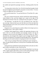her seatbelt and opened the passenger side door, climbing quickly from the car.

"Let me go take a look at him. Um, if he hit his head hard enough to break his nose he might have given himself a concussion. Let me see him—I'm sorry I think you might miss your workout time."

Eli waved his hand at her. "Go, go check him out. I'll wait here. He—geez, Sasha—"

His voice cracked on the last bit, and Eli could feel his cheeks heating up. Sasha blinked at him, and then hopped up to stand on the edge of the doorframe by the base of her seat. Leaning forward, she spoke in a whisper.

"Oi, Spaceman... you like him. No, wait, you think he's hot—hah. He is just your type. And you had to go scare the shize out of him and make him almost kill himself. Even worse, now you have to rely on someone else to go patch his boo-boos."

Eli glared at her, answering just as quietly without even trying to put on a fake British accent. "Don't push it, Donna."

Cackling, Sasha hopped down, strolled with agonizing slowness to the back of the car to lift the hatchback and rummage around in the big red emergency travel kit she'd put together for the back of their car. After a thousand eons, she emerged with a single ice pack no bigger than Eli's hand. Eying her incredulously, Eli pushed his hand through his hair. The humid air blowing across the marsh seemed to be gluing the stuff to his forehead.

"That's all you're taking? What about something for pain? And gloves… didn't you get all huffy about how we always have to remember blood transfer of germs?"

Sasha grimaced, reached back into the still open hatch, and came out with a pack of gloves and bottle of water. She bit her lip.

"I don't have anything in there to deal with more blood than I can clean up with a couple of gauze pads unless I want to use the sterile dressings to clean up a nosebleed. Do you have something in your gym bag?"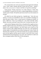Eli's stomach did a slow roll as he smacked his hand against his forehead. "Geez. Yeah, I think I already told him I'd give him my towel… maybe. I dunno. Sure, you can use it. I meant to tell him we'd get him something."

Sasha grinned. "Thanks, Spaceman. I'm a little rattled too. I think when it's somebody I've known for two years, it makes things different, you know? And his name is Paulie. We had the same lecture time for our first semester of nursing."

Eli rolled his eyes before giving her a lopsided grin. "And with your memory, of course you remembered. And it was no problem reminding you about the gloves Sasha. I have a vested interest in keeping you healthy, ya know. Otherwise, I have to go looking for a new bestie and baby mama. Sheesh. Way more work than I want to have to do. You know how lazy I am."

Sasha snorted, flipping a hand at him as she gathered her supplies up into a bundle wrapped in the towel, and made her way over to Paulie. Eli grinned to himself as he watched Adrianna's cute little button nose scrunch up. She batted a strand of silky reddish blond hair out of her face, and clutched her monkey tighter. Eli mouthed the sexy Italian-looking man's name. Paulie. He liked the name, liked the way it felt in his mouth, the way saying it made him press his lips together and then open his mouth. It also fit the sweet, roundcheeked look the man had going on very nicely. He would have to make sure they exchanged numbers before they left the parking lot.

\*\*\*\*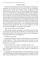#### CHAPTER THREE

<span id="page-33-0"></span>Paulie watched Sasha approach with an acid spewing, ten-foot tapeworm eating holes into the tender surface of his stomach. She was everything he would never be. Graceful, slim, obviously well off to judge by the costly diamond studs she wore in her ears, and most damningly, female. He didn't want to be a woman. Paulie was plenty happy being born with a dumbstick and two balls in the center pocket. He liked being a guy who liked other guys. He just wished he were more the kind of guy that other guys who liked guys went for. Or better yet, the kind of beautiful guy that everyone went for. Sasha sank down like a willow bending in the wind, standing above him one moment and sitting in a tidy little half kneeling position with her skirt belled out in a perfect circle around her the next moment. She sat back on her heels, opening the towel she held and using her skirt as a sort of makeshift barrier between her supplies and the ground. Huh. That was clever. Shaking out the towel she'd carried everything over in, she held it out toward him.

"Here, use this to help you catch the blood."

Paulie took one end of the towel gingerly, careful not to touch her with his bloody hands. He was disease-free, butshe had no way of knowing that. With brisk, efficient motions, she snapped a pair of gloves onto her hands before opening the bottle of water she'd brought over.

"I doab thin I caaan dink"

Sasha slanted a long look at him out of those dark blue eyes. One corner of her mouth tipped up. "Yeah, well that's good, because the water is to wash your face off so I can pop your nose back into place. It's gonna hurt less and heal faster if we do it now."

Paulie leaned back away from her. "We dibent learn dat in cass"

Laughing, Sasha shook her head. "Hah. I know. My uncle runs a gym for boxers. He taught me—well, his trainer, Matty, taught me. I honestly know what I'm doing."

Regarding her closely, Paulie thought for a moment. His brothers Tony and Luigi both had plenty of broken noses growing up, and he thought he recalled Tony saying something about his nose feeling better as soon as they reset it.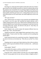## "Okab."

Reaching over, Sasha placed her thumbs on both sides of his nose. Paulie's gaze strayed over her shoulder toward the car where he could just make out the big, gorgeous man's beautifully firm ass pointing straight toward Paulie asthe other man bent to look in the open car window. When Sasha cleared her throat Paulie guiltily jerked his gaze back to her. Looking deeply into his eyes, her little hands spread over his round cheeks, she smiled angelically at him as she spoke.

"Eli's gay you know."

Then, while his brain was trying to wrap around the most delightful thing he'd heard in over five years, she wrenched her thumbs sideways with a sudden snapping motion of her wrists. White-hot fire exploded up hisface and knifed through his brain. Paulie bellowed, attempting to scuttle back from the evil harpy before him. Clearly, she thrived on the pain of—holy Mary, his nose felt better already. Whoa.

Paulie blinked at her, and the motion felt intensely different from two minutes ago. "Wow. That feels better."

Tipping her head back, Sasha laughed before gesturing for him to move forward again. "Come on, don't be a baby. I promise not to do anything that painful again."

Paulie shook his head as he scooted back toward her. Tipping his head to one side, he bit down on his bottom lip. "Why did you say that? Um. About Eli."

Dumping water on a gauze pad, Sasha looked up at him with one eyebrow raised. "Isaid it to get your attention off what I was about to do… and because it's true."

Paulie gulped. "Really?"

Sasha pulled off one glove, and then used that hand to draw an *X* over her heart. "Cross my heart. And you, sir, are just his type."

Eying him with a wicked twinkle in her blue eyes, she smirked slightly. "Yep, he's always gotten hot for men with sexy Italian or English accents. I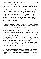would have fixed the two of you up a year ago, but he was too preoccupied to make anybody a decent boyfriend then. Eh, he's still a big geek, but trainable. You think you might wanna apply for the position?"

Paulie gaped at her as she pushed up to standing with the same willowy grace she'd utilized lowering herself to the ground. His head echoed with the small sounds of wind rattling through the tall cattails on the other side of the low rail lining this side of the parking lot. His brain floundered, completely bereft of any response to her statement. She'd forgotten completely about washing his face off, but before he could mention it Sasha grinned, and the expression wasso sly and naughty he half expected a cute little pair of hornsto suddenly sprout from her head.

"Huh?"

Laughing, she turned to walk away. After a few steps, she paused to look over her shoulder. "Hey, do you have someone at home to keep an eye on you and make sure you didn't give yourself a concussion?"

Paulie didn't even have to hear the end of her sentence before he was shaking his head from side to side. "Um. No. I live alone."

Delicately arched copper eyebrows lifted toward her hairline. "Well. All right then. Do you want us to leave you at Crouse Hospital's ER or do you want to stay at our place tonight?"

Paulie blinked at her again. Shit. "I thought you were sort of a life-sized Nursing Student Barbie, but you're really more of a deceptively innocent seeming Kick-Ass-Ninja-Drill-Sergeant Barbie, aren't you?"

Sasha smirked at him again before turning toward the hot sex-god loping back toward them. The sight of his thighs flexing knocked any idea of protest at being called Italian clean out of his head.

\*\*\*\*

Adrianna finally lost her fight with the tiny little *zzzzz-*monsters dangling from the ends of her eyelashes, and Eli lost no time taking advantage of the opportunity to zip over to where Sasha was taking care of her hot nursing buddy.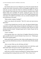### "Paulie."

He tried the name on for size, liking the way it felt in his mouth when he actually said it aloud. And nearly as much as he thought he might like to have some part, any part, of the man where he could lick and nibble at it. He got close enough to hear Paulie just as the man made his comment about which Barbie Sasha most resembled. Eli snorted, catching her gaze as her eyes widened and her mouth quirked up at the ends. With a laugh tickling the back of his throat, Eli nodded toward Paulie, who was currently making Eli's dick do the Macarena in his pants.

"Make another conquest, Earthgirl?"

Sasha's eyes danced with mischief. "Nah. He's more your type anyway, Spaceman."

A rush of heat flooded down into Eli's groin. He glanced behind Sasha, surprised to see Paulie simply sitting on the ground watching the two of them with his head tilted to one side, brows scrunched up a little, the hint of a smile playing around his mouth. Turning his gaze back to Sasha, Eli gave her his best shark smile.

"Good. I call dibs."

On the ground, there was a short burst of laughter followed by the best quote possible from Eli's favorite Brendan Fraser movie ever. "Nobody gets dibs on the mountain guide."

Sasha and Eli both cracked up at that, Sasha actually going so far as to set the ice pack she still held down on the car's dull yellow hood. Eli did a double take.

## *Wait a second. What was she still doing with that?*

Eli's laughter evaporated as he realized the little bit of relief they could offer Paulie hadn't been given to him. He tapped Sasha's arm.

"Hey, isn't he supposed to be holding that up against his face?"

Sasha took a second to wipe her streaming eyes, and then looked where he was pointing before turning stricken eyes to Eli. "Worst. Nurse. Ever."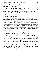He pressed a finger to her lips. "Oi, nobody talks about my best mate that way, Earthgirl. I'll take care of it."

Then he picked up the little icepack, breaking the pouch inside to release the activating chemicals to mix with whatever other stuff was in there. Eli shook the bag back and forth as he waited for Sasha to squeeze past him to get to the car. When she paused at the driver's side of their car, he squinted one eye at her.

"Sash? What are you doing?"

She tipped her head toward Paulie, and Eli turned his head to look at the man again. He had dark stains down the front of his charcoal grey shirt, and his tan pants were a complete loss with the bright red blood on them rapidly turning rust-colored as the heat of the day quickly dried the precious liquid. Paulie was still sitting on the ground, face covered in blood and his mouth open as his gaze flitted between the two of them. His brown eyes were wide and his short, dark brown hair flopped appealingly over his broad forehead. Sasha's voice came from behind Eli, but he didn't take his eyes from Paulie to look at her. He couldn't.

"I'm waiting to find out if our mountain guide is going to go to the doctor to get cleared to go home or if we're taking him home with us."

Paulie's lips opened up to speak, and a tsunami of panic tumbled Eli up, down, and sideways. He blurted out a series of commands. "He's coming home with us. I'll drive his car, and you take ours. I'll carry Adrianna in when we get home, so she doesn't wake up before it's time for her nap to end, though. And toss me a rag or some napkins or something from the glove box, okay?"

He could nearly hear Sasha's shrug behind him. Turning, he caught the cloth she threw while speaking. "Eh, it's fine with me. You might want to check with Paulie there though. He's not used to your bossy ways, yet."

\*\*\*\*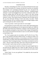### CHAPTER FOUR

The deep, commanding tone of Eli's voice distracted Paulie from the actual gist of the conversation for a moment, but then the words the two beautiful near-strangers were exchanging penetrated his pain, lust, and general life confusion. No, he couldn't go home with them. Themand… somebody named Adrianna? A mini factoid jiggled loose in his brain. Sasha had a baby. He'd heard her talking about the little girl with a couple of the other nursing students one day while they were all waiting their turns to sign up for the next semester's classes. They shared a house or apartment; that was made clear by the way they both kept referring to home and saying "our place". Paulie needed to go home. He was working swing and the overnight tonight to make up for missing the day shift to take his exam.

"I have to go home. I need to get ready for work tonight."

Eli squatted down in front of him, those wicked, softly-aged looking pants cupping his balls and pulling taut over his impressively large cock. Paulie bit the inside of his bottom lip to hold back a whimper as the man leaned in, and he was suddenly enveloped in a faint cloud of Usher cologne. Eli handed him the ice pack as he reached for the bottle of water to wet the cloth he'd brought to clean Paulie's face.

"No. You're going to give me your phone, and I'll call in for you. Then, after we get Adrianna and Sasha settled at home, I'm taking you either to an ER, one of those urgent care places, or your primary care doctor so someone besides Mean-Ass-Killer-Ninja-Drill-Sergeant Barbie Nurse can assess you for concussion. Then I'm taking you home—to our house, not wherever you live alone—and you can get some sleep. I don't have a bed yet for the guest room, but if you don't want to share my bed I can sleep on the couch."

A wave of heat and need washed over Paulie. His mouth dropped open as he stared into Eli's light brown eyes. Sasha was right. The guy was a bossy bastard. And didn't Paulie's dick just want to stand up and wave hello to him? Sheesh.

"What? Dude, I'm not your girlfriend." He nodded his chin toward the direction of Sasha.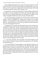Eli just laughed, gesturing for him to put the ice pack to his face. "Well, thank God for that. The world cannot handle two Sasha McMillan's, that's for damn sure. We're gonna have enough trouble when Adrianna gets old enough to start following in her mama's fiery footsteps. God."

He paused for a second, the minute flecks of green and blue buried in the rich amber of his eyes seeming to flare like tiny Christmas lights. Paulie stared, his train of thought shattered by the startling play of multiple colors where he thought there had been only brown just a moment before.

Eli continued speaking, though his face fell into purely serious lines that somehow seemed to highlight the strange tension created by his youthful authority. "I'm assuming you work in healthcare, like Sasha. Do you really think it's a good idea to go to work where you might injure someone because you aren't well enough to be there?"

A sledgehammer of emotion smashed against Paulie's heart.Joseph, Mary and Moses on a pogo stick. This kid—because, beautiful as he was, there was no way he was a day over twenty-five. Paulie placed him somewhere closer to the lower end of histwenties based on the lack of lines around his eyes despite how much he seemed to smile and laugh. He had faint smudges of purple under his eyes too, and yet being obviously tired didn't detract from his proud masculine beauty in the slightest. In Paulie's experience, only the very young, the obscenely wealthy, and the genetic lottery winners got that kind of slack where rest and looking good were concerned.

"I—no, I don't want that. I never want that. I-I'll call my supervisor, and then my doctor. But I have to get my phone from inside the car. Um. My keys are still under the car."

A low sound rolled over and through him as Eli tipped his head back, sun glinting off hissandy brown hair and the pretty white teeth that Paulie could so easily envision worrying at various bits of his anatomy. The man's throat worked as he laughed, and the sight of those corded muscles moving did pull a groan from Paulie. Eli tilted his head back down, a smile still stretched across his mouth and those unbelievable chips of blue and green danced in the warm brown of his eyes.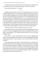"I'll get your keys out from the other side, and then get your phone out for you to make those calls. Just keep the ice pack on your face, hmmm?"

Paulie swallowed thickly. "Um. Okay."

\*\*\*\*

Walking around the back of the car, Eli pulled the hair tie out of his shoulder length hair and ran a quick hand through it before pulling it back into a ponytail again. Squatting once he got to the midpoint of the passenger side of the car, he craned his head to peer under the car. Nada. Shaking his head, Eli put his hands down, flattening his body out into a pushup position while holding his long body a scant inch above an oily-looking patch of pavement. Crap, these might be work pants, but he liked them. Plus, it was Sasha's turn to do laundry this week, and he really didn't want to make extra work for her. He looked again. Aha. Shifting his weight to his right hand, Eli bent his elbow a fraction more and hooked the keys out with the tip of his pinky finger.

"Got them, Paulie. I'll have your phone out for you in a sec."

Bouncing up to hisfeet, Eli made quick work of unlocking the beat-to-shit yellow car's door and snagging the older model cell resting in the little console down by the gearshift. As he walked around the back of the car, he started talking to Paulie.

"Hey, Paulie… this car would almost be cool if it were in slightly better shape. Are you gonna keep it and fix it up once you start getting paid those big nursing salary checks? 'Cause, seriously, if not? I'd love to talk to you about buying it."

As he started up the side of the car where Paulie still sat on the ground, a thick hank of shiny brown hair falling across his forehead, Eli was struck again by the way the line of the man'sshoulders—nearly as broad as Eli's—drooped just a little. The way Paulie's neck arched to tilt his head just slightly toward the ground and the sweet, shy way he looked up at Eli through his long, silky black lashes sent a pang of want spearing through Eli's guts. He caught his breath and continued to talk about the car.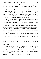"I never could resist a sexy muscle car, you know? So I kinda hope you opt for ditching the vehicle, because then I could probably buy it cheap. I really love working on cars."

Paulie didn't say anything, but the corner of his mouth was curving up and he just kept watching Eli with those eyes. God, he made Eli hard without even trying. He tipped his head a little farther to the side, an inquisitive sort of hum coming from the back of his throat. Eli squatted next to him, handing the phone over. A jolt of electricity arched between them. Paulie's pupils flared, turning his dark eyes almost black. Eli swallowed thickly.

"The reason the car I share with Sasha looks so great is because we saved a ton on maintenance—I do all the upkeep on the Subaru—so we can afford to keep the paint job nice and put new or newer tires on whenever we need them."

Paulie nodded, his eyes shining above the ice pack. Something about the way he watched Eli—the guy made him feel about ten feet tall, and like he had a superhero cape on or something. Eli kept on talking. Even when Sasha listened, she didn't make him feel like a hero just for fixing up the damn car.

"Don't get me wrong—I had fun learning the ins and outs of the Subaru, but man, was I ever glad I insisted on a way-old model. There was no way I'd have been able to do all the upkeep on one of the newer ones, not without buying a bunch of specialized equipment to deal with the things that are computerized."

Paulie nodded as his gaze flickered to the mint condition Subaru and then back to Eli's battered boots. Eli followed the line of Paulie's gaze from the car back to his own thrashed boots. The side of his mouth turned up and he lifted one eyebrow.

"I bet you're wondering how a nursing student and guy straight out of high school working as a laborer could afford such a sweet car, aren't you?"

Paulie made another of those humming noises that went straight to Eli's cock, but this time the sound sort of lifted on the end like he was agreeing with the question. Eli grinned, settling his back against the side of the car for a second before pulling away from the hot metal with a hiss.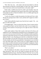"Shit. That's hot. Um… well, Sasha's dad and mom helped us with the down payment on both the car and the duplex we share. Hey, a guy's gotta be close to his bestie and the most beautiful baby on the planet, right?"

Paulie made a muffled noise that Eli couldn't quite decipher. Since the other man wasn't yanking down the icepack to give him a ration of grief about living right next door to Sasha he decided to view it as mildly approving and move on. He shrugged.

"I work a lot of hours to make the payments, but Sasha and I have a deal. She gets her nursing license while I work, and then she'll support me while I go to school."

Paulie finally pulled the icepack away from his face to speak. "Ah… you guys are really close, huh?"

Eli shrugged again. "Yeah, we always have been. I know it seems weird to some people, but Sasha's my best friend in the world. Can you imagine how cool the world would be if everyone got to live right next door to their best friend?"

Paulie made another of those little sounds at the back of his throat, and suddenly Eli wasn't thinking about raising the level of world happiness or how cool it was to live next door to his bestie. The world kind of shook around him, maybe the whole damn universe was trying to knock him into the rich brown depths of Paulie's eyes. Reaching up to touch the car behind him, Eli ran the tips of his fingers over the side of the factory issue early seventies tail lights. Sweetly chunky and solid, they grounded him. Glancing back over, he locked eyes with Paulie again, and a vision of the two of them tangled in the soft green sheets currently on his bed swamhotly through Eli'simagination. Paulie was so solid looking, with little lines at the corners of his eyes and mouth that told Eli he'd passed twenty-five a few miles back.

"Here's your phone."

Shit. He handed over the phone, well aware that his voice had gone all deep and growly. There was no way Paulie was gonna miss that. He was probably giving the poor guy, what Sasha called, his "fuck me" eyes, too. She claimed he'd never given them to her, not even the one time they actually did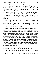it, but that she'd seen him give those burning looks to a couple of his hook-ups as they stumbled away on morning after walks to wherever they came from. He didn't do hook-ups anymore, not since Adrianna was born. Sasha still teased him about the few he'd been with while they lived in that crappy two bedroom apartment they had before her parents ponied up the down payment for the duplex they lived in now. Though the older couple had sworn they would have nothing to do with Sasha's "mistake", they caved within two minutes of seeing Adrianna after she was born. In fact they begged to be forgiven for trying to pressure Sasha into an abortion when they found out she was pregnant.

Paulie's eyes widened above the ice pack, dropped to Eli's groin area and then flicked back up to his face with—oh, please let that be a flicker of heat from lust and not a flicker of anger at Eli's crass lusting after the injured guy. He lowered the ice pack, setting it on his lap as he reached out for the phone.

"Thanks. I'll just be a minute, okay?"

Eli nodded wordlessly, afraid to speak lest he scare Paulie away. Fuck, the smoky tenor sound of Paulie's voice was waking his dick up faster than a highly caffeinated double cappuccino with a sweet frothy layer of cream on top. Eli suppressed a groan at the thought. What he really wanted to do was just tell the sweet, hot double armful of caramel-coated man that he needed to get used to having Eli around, because Eli didn't do casual sex anymore, and he knew with an absolute certainty that he was going to have sex with Paulie. He could wait for a while if Paulie turned out to be a guy who needed romancing first. Eli licked hislips to wet them. He was going to have Paulie's softly bitable round ass in his bed as soon as possible. It was all he could do to not whip his dick out right now and piss in a circle around the man while shouting out, "Mine, mine, mine!"

"Sure. Take your time. I'll just go let Sasha know to take Adrianna home the long way, and we'll meet her there in about twenty minutes."

Then he turned, squaring his shoulders as he tried to figure out how the hell to tamp down his possessive streak. Sasha had never been bothered by his caveman attitudes—shit, Sasha laughed at him when he got all caveman on her. She said—repeatedly—that he could take thatshit and stuff it back up his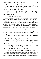ass or flush it down the toilet. She wasn't going to deal with him getting his nuts in a knot every single time she went on a date, because being his best friend did not—and she usually repeated *not* four or five timesto make sure he understood—make her his personal possession.

Well, that was Sasha, though. She didn't take shit from anyone, for any reason. Eli had a feeling Paulie might need a little bit of a softer touch than that. There was something—

"Oi. Spaceman. Time to allons-zee?"

Eli rolled his eyes at Sasha. She was beautiful, uber-smart, and utterly incapable of speaking French without slaughtering what might well be the most graceful language on the planet. He carefully avoided thinking about the way butchered Britglish, the Brit version of English, whenever he tried to speak it. Yep, so not addressing that… it was far more important to concentrate on how lucky Adrianna was that her maternal grandparents, Auntie Michele, and her daddy could both speak French semi-fluently.

"Oi. Earthgirl. Do not butcher the mother tongue of your people."

Sasha tapped one sandal-clad foot against the blacktop, lifting a single brow like a scathing indictment of his intelligence. Eli suppressed a smirk, knowing now was not a good time to rile her. She was still biting the inside of her cheek and twirling her hair with her right hand—both sure signs she was as jittery as all get out.

"Okay, Sasha. He's calling hisjob right now. We'll follow you back to the duplex in his car, I'll help you get the little princess settled, and then I'm going to run him to his doctor's office to be checked out—and before you even go there, just don't."

Sasha pasted a patently false expression of innocence on her face. Eli knew the innocence was false, because it was on *Sasha's* face, and she was the most diabolical soul this side of the river Styx's bleak shores.

"Hey, that's not nice. I don't even know what you're talking about."

He slid a skeptical glance from the tips of her shell-pink toenails to the top of her gleaming red hair. "Liar. You were going to say you didn't see why the doctor was necessary since I'd been checking him out ever since I pulled into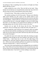the parking lot. That or something close was about to roll right out of those glittery pink lips of yours."

Sasha wrinkled her nose at him. Then she held out her hand. "Okay, busted. Give me the keys so I can get this show on the road. You want me to take the long way home to keep perpetual motion baby asleep?"

Eli shook his head. "What makes you think I have the keys?"

She smirked, pointing to his left front pocket. "Because your ridiculous alpha streak demands you take control of the smallest detail of your surroundings, up to and including pocketing the keys the second you take them out of the ignition—which, by the way, you always do assoon as you come to a stop anywhere that isn't a stop sign, stoplight or some sort of traffic thing. Plus there's an extra bulge in your pocket that has nothing to do with the pleasingly plump cutie over there with the ice pack on his nose."

Dammit, she was right. He did always take the keys. "Shi–shitake mushrooms. This not swearing crap is really hard. Here, but make sure—"

Sasha mouthed the words with him as he continued, which was another clear indicator that he did this controlling crap a lot more than he realized. " make sure you leave them in the yellow and brown key dish in the front hall on my side of the duplex."

Eli pulled the Scunci he'd stolen from Sasha that morning out again, dragging his hand through his hair from forehead to the nape of his neck. "Geez, Sasha… I don't know how to turn it off. The alpha thing is like breathing to me. And I don't think he's gonna just tell me to fuck off like you do. I—did you ever meet somebody and know you wanted to see what being with them would be like? I—what if I scare him off?"

One corner of her mouth quirked up as her midnight-blue eyes twinkled at him. "I don't think you'll scare him. Maybe turn him on, but never scare. I saw hisface when you were bossing him around just now, and I heard that little dip in his hot Italian drawl. Trust me Eli, you have nothing to worry about."

\*\*\*\*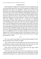### CHAPTER FIVE

Paulie would have thought he'd be irritated with some young guy bossing him around like his papa used to, but on Eli, the attitude was strangely hot. All through the brief exam by Doc Middleton—Paulie really loved the rotund black doctor who endlessly reminded him of a happy black Santa Claus—Eli had issued orders to him, until Doc Middleton had laughingly insisted he go sit out in the waiting room. Paulie had actually been really grateful, because keeping his dick from boning up when Eli talked to him all bossily in that deep, gravel filled tone was not something he could do. And having a stiffy while Doc Middleton checked him for a concussion was decidedly uncomfortable on about twelve different levels. His doctor had asked him several leading questions about Eli, and how he'd met the younger man. The point of all the probing questions became apparent when Kelly, his favorite nurse in the office, slipped him a discreetly sealed envelope when he checked out, murmuring that it contained the results of his latest blood test. She'd also murmured that Doc Middleton thought he might want a copy to take with him *just in case*. The whole thing turned his face burningly hot even an hour later. Geez. Doc Middleton knew he was going to gladly wave his ass in the air tonight for Eli if the hot younger man gave any indication of interest. If he didn't love the care he got from the old man, Paulie would so have to change primary doctors—today.

#### \*\*\*\*

Eli's voice, still low and rumbly as he showed Paulie through his half of the little duplex broke into Paulie's thoughts.

"Hey. It will be easier if we both sleep in here, but I don't want you to feel uncomfortable, so take your time and let me know later, okay? For now, why don't you lie down while I get some soup ready for our dinner?"

Those freaky, hot flecks of color were back in his eyes again. Paulie cleared his throat. "I'm not hungry. I know—"

Eli moved a half step closer than the easy arm's length away he'd been standing, making the room they stood in seem to shrink around them. The dark wood of the bed and dresser set, coupled with the way the large bed covered in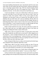forest green bedding dominated the space, had already made the room seem fairly small. Eli took another half step toward Paulie, raising one big hand to press a long finger against Paulie's lips. With his stomach jumping, Paulie drew in a quick breath. Oh, God. If Eli stepped any closer—Paulie's dick throbbed at the idea—he'd be able to feel just how hard Paulie was.

"I said wait until later. I want you to think about it while your cock isn't rock hard, and while I'm not in the same room with you, okay? I don't do casual sex, Paulie. Not anymore. When we fuck, you're gonna be mine. Sleeping in my bed doesn't mean we're gonna fuck. But right now you're thinking with your little head, and I want you thinking with the other one before you decide if you want me in that bed with you tonight. Because us both being there doesn't mean we have to fuck, but it sure as hell raises the level of possibility. I want to pound your pretty ass right through that kingsized mattress, and I'm pretty sure you want the same thing."

Paulie's breath stuttered in his chest. He tried to pull back to speak, but Eli's other hand came up to rest lightly against the back of his head, not pushing, but holding him firmly in place all the same.

"Shhh. This is what we're gonna do, Paulie. I'm gonna take a look at that clean bill of health the cute little nurse at your doctor's office slipped you at his insistence—I have excellent hearing by the way, and I don't think she realized how close I was standing to you—and once you know I've seen it, I'm going to help you take the edge off. Then you're going to lay down in my bed and take a little nap while I get dinner ready."

Paulie whimpered. Baby Jesusin a sidecar, he'd turned into the kind of guy who whimpered when somebody talked dirty to him.

"Shhh, honey, shhh. If you don't want me to help you, then I'll just go make dinner and you can jack-off before you decide. But one way or another, I want you to get off before you decide if I'm couch surfing tonight."

Finally, he pulled his fingers away. Paulie almost whimpered again, but instead he swallowed hard and then replied. "I want you to help. Please."

And he reached into the too tight pocket of what used to be his second best pants, pulling out the envelope Kelly had given him. Eli took the starkly white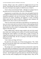envelope, slitting it open with a penknife he snagged from the top of his dresser. Extracting the info sheet from its cozy nest, he flicked a glance over the results. Pressing his lips together, he lifted hot eyes to Paulie's.

"You're clean across the board, Paulie—although we're going to have to talk about your low iron levels later, when you're feeling better."

Stepping back, he raked Paulie with a look so hot and tangible Paulie felt asthough his clothes had been burned from his body. Reaching past Paulie, he returned the penknife to the top of the dresser. Then he smiled, and the expression was wicked, smoldering, and suggestive—in short, everything Paulie could wish for when he stood in a handsome man's bedroom. He nodded toward a door on the far wall of the bedroom.

"There are clean towels on the shelvesin the bathroom. Get cleaned up; I'll leave you some sweats and a tee on the bed. Shower without getting yourself off, then you get a stellar blowjob where you do get off, and finally we have dinner before you tell me where I'm sleeping tonight. I expect everything to happen in that order, okay?"

Paulie nodded mutely. With his tongue welded to the roof of his mouth, there really wasn't anything else he could do. Eli reached around him again, brushing their chests together as he pulled open a couple of drawers. He stepped back, placing a pair of sweats and a T-shirt Paulie knew would be too small for his thicker body. His face was going to cook right off if he kept blushing this much.

"I don't think your things will fit me."

Eli raked him with another one of those burning glances. "Oh, I think they'll fit you just fine, Paulie. Don't worry about it if they're not as loose as you like. You'll look great."

The younger man's voice dropped even lower on the last few words, like his whole mouth was making love to the sounds. Paulie shivered, nodded, and headed for the shower in the master bathroom, scooping up the clothes on the way. It did not escape his notice—despite the lack of adequate blood flow to his brain—that Eli neglected to give himunderwear. His dick did a little happy dance over that, nearly strangling itself in his tighty-whiteys. Okay, the hot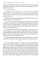younger man might have a point. That thought brought to mind the one thing he needed to know right now before they went even one suggestive comment farther down this path.

"Eli, how old are you?"

Eli chuckled, and the deep gravel of it made the sound somehow deliciously dirty. "I'm grown, Paulie. I'm twenty-two years old. Why don't you tell me how much older you are so we can get the fact that I like you being older out of the way."

Paulie gaped for a second, and then answered. "Thirty-one. I'm nine years older than you. Shit, I could have been—"

Eli closed the three steps between them in the blink of an eye. One long arm wrapped around Paulie's waist and hauled him up against Eli'slong, lean form. The scent of his cologne closed in around Paulie, and he moaned. The younger man bent his head, brushing his lips lightly against Paulie's once before whispering against them.

"You could have been my insanely hot babysitter. The one that I'd have beat off to images of as soon as I got old enough to figure out that my dick was for something besides pissing. The one whose smoky tenor voice would have gotten me hard every time he spoke. The one I'd have tried to seduce every chance I got once I was old enough for that."

Then he stepped back, pointing imperiously at the bathroomdoor. "Go take your shower. I'll be in the kitchen. When you get done, come get me in there."

\*\*\*\*

Eli's heart pounded against his ribs like an over-eager paperboy on collection day. He got the crockpot out, setting the small sized slow-cooking device on the counter top with shaking hands. He'd nearly killed himself holding back in the bedroom, and his body was still reacting. He decided he'd get a light chicken soup going in the crockpot, and then pulled some premade rolls out of the freezer. They would thaw about twenty minutes before the homemade chicken soup was finished cooking, leaving him plenty of time to have them ready to go with dinner. As long as Paulie didn't show any signs of concussion before dinner—roughly three hours since he'd hit his head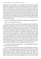according to Eli's calculations—he was going to let the man have a decent, light dinner. Cutting the chicken breast he'd thawed yesterday into small bite sized bits, Eli added some of the soup stock he'd made last week, and then cut up the carrots and onions to add later. He finished, washing the cutting board, knives and other paraphernalia he'd used to prep everything just as the whine in the pipes gave away the fact that Paulie had finished his shower. He set the cutting board to sanitize in the bottom of the sink, spreading a capful of bleach over the top. He waslooking for a good eco-friendly alterative to bleaching the board, but until he found one that satisfied him, he wasn't taking any chances with his family's health.

A throat cleared behind him, and Paulie's beautiful accent rolled over Eli.

"Hey. I, um, I finished my shower."

Eli turned as slowly as he could, which probably meant he looked like a superhero in a phone booth. Damn it, he wanted to see if Paulie had followed his instructions. He let his gaze roam over every visible inch of the man, from his long, naked toes, up the long, beautifully thick legs to—oh, hell yeah, the rock hard cock perfectly outlined in the slightly too tight pants. If he could convince the man, Paulie would be wearing slightly too tight pants for the rest of his life. Eli's gaze lingered for a moment on the slight roundness right where the drawstring of the low-slung sweats was knotted. His mouth watered as he imagined planting dozens of open-mouthed kissesright there. Finally, he let his glance move over the other man's barrel chest and up to the roundcheeked adorableness of his face. Those cheeks filled with a flood of red color as Eli watched, making him want desperately to see themflushed with ecstasy. He shook his head, trying to clear it enough to maintain his control.

"Isee you are. Done showering, that is. I've got everything set to take care of itself while I take care of you."

Eli could hear the rough darkness to his voice getting thicker and darker. He didn't try to speak again, opting to simply hold out his hand as he walked past Paulie. The older man grasped his hand with one that shook slightly. Eli squeezed lightly, pulling a squeaky-clean Paulie along in his wake as he walked with firm strides back up the hall leading to his bedroom. He'd called Sasha as soon as he got to the kitchen, telling her not to come over for dinner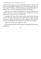tonight, and he'd make it up to her with breakfast tomorrow morning. The rotten wench had laughed, telling him she'd already made alternate plans for both herself and Adrianna—evidently Adrianna was spending the night at his mother's house—and she'd take his guilt-breakfast with pleasure.

At the door to his bedroom, Paulie halted, his hand still shaking but his melodic tones firm. "I want you to sleep in here. I already know. You can make me tell you again later, but I already know."

Everything in Eli went still for a second, and the quiet rolled out, seeming to silence the whole house around him. Paulie held his breath, obviously waiting for a response. Eli lifted his free hand, cupping the side of the other man's face and pulled him close enough to whisper against his lips again.

"Okay. Just—tell me if you change your mind."

Then he pulled Paulie fully into his bedroom, shutting and locking the door behind them.

\*\*\*\*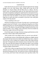### CHAPTER SIX

Paulie shivered, the sexy feel of words whispered against his lips running straight to his cock. Holy Moses, Mary, Joseph and at least one of the Disciples on a big-ass Harley with the Baby Jesus in a sidecar—this boy, barely a man, was turning Paulie inside out. His whole body felt hot, heavy and ready for absolutely anything Eli wanted from him. He moaned, the low, thready sound falling from tingling lips. Eli took the sound into his own mouth and then fed it back into Paulie's. In the process, he turned a filthy, gritty laugh into so much more than an invitation to join him on the wide green expanse of his big, big bed.

"I have something to show you."

With that, Eli stepped away from him. The other man's warm hand stayed wrapped around one of Paulie's wrists, pulling him along like one of those little quacking duck toys with the flapping feet that little kids always seemed so fond of. The calluses on his palm and fingers abraded the thin skin at the inside of Paulie's wrist, sending a shot of electricity from the invisible hot button there, right to the tip of his hard dick.

Eli led Paulie right to the edge of the bed, turning to push him down on the bed with an almost rough, entirely playful shove.

"Well, actually I have a few things to show you, but let's start with this."

He pulled open a drawer of the bedside table, pulling out a slightly tattered slip of paper that had clearly been folded and refolded many times, a bottle of Gun Oil, and a roll of condoms he'd stashed in there when Sasha told him about the VA Hospital job and his imminent return to the land of the socially alive. He set the lube and condoms on the edge of the table, in easy reaching distance from the head of the bed, and then set the paper in Paulie's hand, closing his fingers around Paulie's.

"I don't have a shiny new paper because I haven't been with anyone since Adrianna was born—there are a lot of reasons that aren't important right now that answer the question of why. All I need you to know is that this paper tells you I'm clean, and I haven't been with anyone since I got these results. The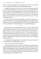lube is to make you feel good, and the condoms are for in case we get carried away. Not planning anything; just can't help hoping, though."

A tightly furled knot of sorrow eased, the frayed ends of endless guilt and self-recrimination falling free in a small room in his soul. He dropped his head forward to hide the moisture glistening on the surface of his brown eyes. No one but Jeff had ever talked to him like that—not the sex part, but like he was special. Of all the people in the whole world, only these two men had seen him, and taken pains to show him the way he shone in their eyes. A hot salt drop landed on his lap.

The room stilled. Listening, Paulie couldn't even hear the sound of Eli's breath. Oh, hell. He'd ruined everything. Raising his head, he met Eli's eyes, and what he saw there, slammed through his chest like a comet falling through the vapor and heat of the atmosphere. Eli's eyes were shimmering too.

\*\*\*\*

When the drop of water fell from Paulie's eye, it cut free the thing in Eli that had been held in reserve. The day he and Sasha waited for a piss-covered piece of plastic to reveal the course of their future, he had learned in a fundamental way how life could turn on a dime. He'd also learned to listen to his heart and not give a flying fuck what the rest of the world thought. So when he saw that salt saturated liquid crystal proof of Paulie's vulnerability he took the sledge hammer he kept in the back of his heart's house and started knocking walls out.

Reaching with trembling fingers, he moved to tilt Paulie's face up, but the man surprised him by lifting his face on his own.

"Fuck. Looking at you steals my breath."

Abandoning his plans from earlier, he pushed Paulie flat, sliding his lush body up the bed until his dark brown hair rested against the pillows at the head of the bed. Slipping fingers under the edge of the tee he'd given Paulie to wear after hisshower, the silky, resilient flesh under his hand made Eli's teeth ache with a need to bite, and made his dick point at the man like the needle of a compass pointing toward magnetic north.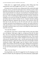Paulie drew in a ragged breath, speaking in those lilting tones that connected his vocal cords straight to Eli's cock. "It's—you see me."

Eli meant to answer, but the warm, rolling sound of the words hit himright in the gut. Anyway, just then his teeth made contact with the succulent, tender flesh that lay just above the waistline of the low cut sweats. Exhaling on a low moan, he gave himself over to the pure visceral pleasure of tasting the faintest trace of salt still on the man's flesh despite having showered less than half an hour ago. A hint of something else lingered on his skin, and after a moment of licking his way across the soft flesh, Eli identified it as the herbal cucumber and melon rinse he made for himself. Oh, ho. Someone had been peeking through the bathroom cupboards after his shower. That would be where the faint taste of salt came from as well. Eli used salt in the mix to keep the cucumber and melon from breaking down so quickly. He usually followed it with a special lotion as well, to keep his skin from getting irritated by the salt, but Paulie would have had no way to know of the high salt content unless he tasted the concoction.

"You taste like summer."

Eli pushed the sweats down a fraction farther and bit at the pad of flesh over one hipbone. Paulie gave a high cry, arching up off the bed. He liked that—how very convenient. Eli licked the bite mark he'd left behind, and then sucked at the spot while Paulie writhed and gasped below him. Those sounds were driving him mad as Alice's Hatter, though he'd never been one to play with mercury. He pushed Paulie's shirt—his shirt and oh yeah, didn't his dick thump hard and heavy against the inside of his jeans at the thought of Paulie wearing his clothes—high enough to get his mouth on those rose-brown nipples. He laved them with the flat of histongue, nibbling and sucking before he blew streams of cool air across them. Paulie sang for him, sweet high notes of want and need punctuated by single syllable words in that sexy fucking accent.

"More. Oh, God. Please."

Reaching blindly to the table, Eli snagged the Gun Oil, dropping it on the bed next to Paulie's hip. He surged up to nip at those plump lips, sipping sighs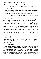and moans from them as his fingers danced over the new land he was discovering inch by silky inch. Paulie waxed his chest. Eli grunted.

"No more waxing."

Paulie blinked at him, brown eyes held wide open with the pupils wide and unfocused. "Wh-what?"

Eli pulled back. "No more waxing. Your body is perfect like it is."

"Oookay." The agreement was enough, even though the raised brows and down-turned lips sang a symphony of disbelief.

Eli would work on the belief later. For now, he was busy teaching and learning the body language that was a blend of his own and Paulie's. He pushed the soft cotton of the T-shirt up over Paulie's head, letting it linger for a moment over the other man's face. Later they'd have to play a bit with blindfolds, when Paulie felt safe enough with him. Once he had the shirt free of Paulie's hands, he tossed it to the far side of the bed, missing getting it all the way over so it hung over the edge of the bed like a wrinkled red testament to hisfocus being wholly taken by Paulie. Working his way back down the too smooth chest, he made his way quickly to the barrier of cloth just at Paulie's hips. With one hand, Eli pulled the string, untying the little bow Paulie had put it in. Cute. Once that was done, Eli shoved himself down to Paulie's feet.

"Lift your hips."

With one quick yank, the soft cotton of the pants was crumpled in Eli's hands, and he was easing it over Paulie's feet. Glancing up with a toothy smile, Eli pulled Paulie's legs apart, bending the knees to press them up toward Paulie's chest.

"Hold those for me."

Paulie grasped his knees, gasping as Eli squirted a bit of Gun Oil in his hand and slicked it along Paulie's thick, circumcised cock as he shoved his other hand underneath Paulie's ass. Paulie's low moan and little wiggle sent more blood thumping straight to Eli's groin. Palming Paulie's cushiony cheeks, Eli tilted Paulie's hips higher. Then, flexing his fingers against the bouncy resilience of the man's flesh, he spread Paulie's ass cheeks far enough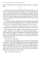to get his first glimpse of the dusky pink rosette his mouth was watering to taste.

\*\*\*\*

Paulie lurched as Eli practically did a high dive head-first into his ass. Oh. My. God. Beautiful, demi-god Eli was eating his ass. And by all that was holy, it felt—it felt like nothing in Paulie's prior experience. Eli lapped at his hole, his tongue moving in endless circles around the tight muscle there. What did the man do to make his tongue have such strength and endurance? Were there some sort of calisthenics for tongues that none of Paulie's previous lovers had ever heard of?

At Eli's startled intake of breath and short burst of laughter, Paulie realized he'd actually spoken those thoughts aloud. Oh, God. What would Eli think? As if the man were reading his thoughts, Eli spoke at that exact moment.

"While it's very flattering to be considered the best you've ever had, I'm doing something wrong if you can still think about other men in any context."

Paulie blinked up at the ceiling, his fingers tightening on his knees in reflexive mortification. Then there was a sudden squirting sensation as something warm and slippery rolled against his ass and then, with a sting and a pop, one of Eli's big fingers was in Paulie's ass. The digit seemed to have a road map and an unerring sense of direction, for once inside his body it slid straight across his prostate.

"Holy Moses on a pogo stick!"

The finger stroked again, jiggling a little as Eli gave a full on belly laugh. Paulie didn't care, because the jiggling in addition to the pressure against his prostate wassending sparks flying behind his eyes. With a wiggle and a twist, another finger slipped in next to the first and Paulie started pushing his ass down toward them. In and out they slid, again and again, until he began to whine and beg. Then a third came to join the first two, and Paulie was chanting the same thing over and over again.

"More. Now. Please, in me, more."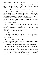But, the fingers left him instead, leaving him whining and writhing on the bed. Eyes squeezed tightly shut, he dropped the hold he had on his knees to grab for his dick. A bigger hand smacked his away.

"No. Wait. I'll get you there, Paulie. You want more?"

Paulie opened his eyes. Eli hovered over him, face stark with need, eyes big, nearly black with wanting and those crazy green and blue flecks just fucking glowing at him as the man moved to slowly strip off his clothing. Then he crawled back over Paulie, hanging tantalizingly above him again, his sandy brown hair hanging around his face and the muscles of his arms bunching and flexing as he lowered himself closer to Paulie. Shaking with need, Paulie drew in a shallow breath to speak.

"You. Want you. Please."

Eli gave that nasty grin he'd given just before he started to eat Paulie's ass Paulie surged up, wanting Eli's lips back, needing the other man's kiss like air in his lungs. He was desperate to taste himself on Eli's mouth. Their lips met, tongues tangled in a rush of heat and wet and musk. Eli pressed him back against the bed with one hand on his chest.

"Like this?"

Paulie nodded, listening to the snap and crackle of a condom wrapper tearing open. Eli's jaw clenched as he rolled the condom down. His eyes. Oh, sweet mercy, his eyes.

"Yes. Like this. Want. I want to see. Eyes."

Eli grinned again, but this time softer at the edges, beads of sweat just starting to rise along the sides of his face.

"You want to see and be seen by these eyes, isn't that right, Paulie?"

As he spoke, something fucking huge and hard pressed against Paulie's hole. It hurt, but the hurt was good and felt like more. Paulie could feel his mouth stretching into an *O* of painful bliss. Eli gritted his teeth, and pressed forward slow and steady. Paulie breathed, locking his eyes on Eli's, losing himself in the wild flecks of green and blue that almost didn't seem real. The ring of muscle guarding the entrance to his hole gave way. Paulie breathed out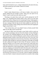hard, and Eli slid all the way in. A finger feathered down the side of his face, and Paulie opened the eyes he didn't realize he'd closed.

"There you are."

\*\*\*\*

Paulie's lashes fluttered down, so Eli bent to feather a kiss across his mouth, pulling back just enough to speak. "Keep your eyes open for me, Paulie. I want to watch your eyes when you come."

Thrusting as he spoke those words wasn't strictly playing fair, but Eli didn't care. Something about Paulie pulled at him, and he was more than willing to play dirty, seeing as how he was playing for keeps. Paulie gasped, a flush of color running up his chest toward his neck and jawline. Eli picked up the pace, starting to slam his hips into the finely padded ass under him. He grasped one of Paulie's hands, pulling it down between themand wrapping the fingers around Paulie's cock.

"Yeah. Almost there, aren't you, Paulie? Come on. Stroke yourself. Push right over the edge, and let yourself fall."

And then he didn't have the breath to tease Paulie with his words any more, too busy pumping in and out of his slick channel, too busy drinking in the wordless cries tumbling helplessly from the older man's lips. Paulie's mouth opened wide, sounds dwindling into a perfect silence until the moment glistening strands of pearly cream shot from the tip of his cock and a tiny catching sound whispered out from the back of his throat. Eli let himself go, thrusting wildly through the contractions milking his mind right out through his dick, yelling loud enough for both of them. He had just a moment to be glad that Adrianna was at his mom's place because *this* would surely have woken her, and then he was lost in a haze of white and pleasure that bent his mind and squeezed his whole being through a pinprick in the fabric of the universe. Lunging up, he fastened his teeth in the meaty place where Paulie's neck met his shoulder, biting down hard. Some fragment of sense remained, because he stopped shy of breaking the skin, if only just. Paulie yelled then, but Eli felt his cock twitch too, so it was okay. Then he collapsed, shuddering every time Paulie's channel contracted around his too sensitive shaft, taking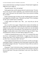eonsto realize the fucker was doing it on purpose. If Paulie hadn't laughed, he might have never caught on.

"Beautiful bastard. That's not sporting."

Paulie gaped at him, and Eli replayed what he'd said in his head. "Oh, shit. You're not, are you? I mean, technically, I am a bastard, but that's all to the good 'cause if that prick was still around I'd have to go to prison for killing my own father."

Paulie continued to gape. Eli slid to one side, shuddering again as his spent cock slipped free of Paulie's body. "What did I say Paulie? You're looking at me like I grew another head or something."

A flush rushed over Paulie's face. "But… you—why did you call me beautiful?"

Now it was Eli's turn to gape. Lifting his brows nearly to his hairline, he rolled to his side. He grabbed a tissue from the box stashed in the headboard, sliding the used condom into it and tossing the whole mess into the bedside garbage. Girls had cans in the bathroom. Guys had them next to the bed. Eli shrugged. It made perfect sense to him. He threw his leg over Paulie's legs, and hauled him in until he was tucked right up against Eli's heart.

"I called you beautiful because you are. Now, if I've fucked all the sense out of you—as that question would indicate—I suggest you close your eyes and get some sleep. I'll be waking you up in a couple of hours to check that you don't have a concussion. How's the face?"

Paulie laughed and the bell-like tenor notes lit Eli's soul like sun through a stained glass window. Grinning, his sweet round cheeks creased with a smile, he touched one finger to his nose. "You ask now? It hurts. Still was worth it to kiss you though."

Eli grunted. "Good. Go the fuck to sleep. I'm going to feed you some soup in a few hours, and put you back to bed, and then in the morning I'm going to kiss you some more. If any part of that doesn't work, now's your chance to negotiate."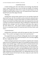### CHAPTER SEVEN

A hand roaming up his side woke Paulie in the morning. He jerked the covers, trying to pull them up to cover his little love handles. Eli smirked, pulling the crumpled green sheets down to place his hand directly over the wobbly bit Paulie had been trying to cover. Eli leaned forward. Paulie threw himself backward off the edge of the bed.

"Morning."

Standing there with his hands clasped over his cock and balls, Paulie felt about twelve years old. This was fully as awful as the day he realized he had a crush on Louis Fenguli, except he'd had clothes on to hide his chub back then. Eli gave one of those Great White Shark smiles, throwing back the covers and crawling over the bed toward him like a big catstalking prey. Paulie fled to the bathroom with a whimper. God. Eli was all lean, sinewy grace, like a tiger in the wild, while he was… like a damn overfed zoo penguin. He turned the shower on, muttering to himself. Eli turned the knob of the door Paulie could swear—

"I locked that door."

Flashing those teeth Paulie could still feel against his flesh, Eli prowled closer. "Yes, you did. I just happen to know how to pick that lock."

He wrapped both arms around Paulie, holding tight when he tried to wiggle away. "I was just going to take a good morning kiss, but if you keep wiggling like that I might get other ideas."

Without waiting for permission, Eliswooped in, using that same curiously tender ferocity he'd displayed last night. He was probably just being careful of Paulie's nose. He didn't gag, or make noises like he's just been forced to lick the floor of a bathroom stall in some seedy bar's men'sroom. And he tasted good. Real. Warm and a little funky, but that fled quickly. He bent Paulie back against the long bathroom counter, one hand holding the hip he'd bitten the night before and the other lightly framing Paulie's jaw with the tip of his pinky finger rubbing the soft spot behind Paulie's ear. Making little noises low in his throat, Paulie moved to tilt his head to the side, crying out in pain when his sore nose bumped Eli's.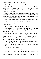"Ow, ow, Baby Jesus in a sidecar, that hurts."

Eli snorted with laughter, dropping his head down to rest on Paulie's shoulder while he shook with hisrepressed mirth. "I never heard anyone go to such lengths to avoid swearing. That's it, I'm keeping you. You can teach me to talk in a child safe way."

He snorted again, leaning back, fingersflexing against Paulie's hip. "Good morning, Paulie. I'll leave your clothes on the bed… I threw them in the wash last night after the second time I had to wake you. I'll be in the kitchen making breakfast. You like pancakes? Bacon?"

Paulie's stomach growled and heat rose in his cheeks. "Yeah. I love pancakes and bacon. Um, can we have scrambled eggs too?

Eli brushed hislips against Paulie's and did thatsexy whisper-against-themouth thing again.

"Yeah. I'll make you eggs, baby. You like 'em cheesy?"

Paulie flashed a look down at the little pooch of his belly, and then looked over at Eli's flat, toned abs. "Um. No that's okay. I'll, ah… I can just have some toast and coffee.

Eli stepped back, eyes lit up with those flecks of blue and green again. A lopsided smile curved up one corner of his mouth. "Hah. Cheesy scramblers, pancakes with syrup and bacon for my baby it is. Don't take too long in the shower, gorgeous. I want to have a moment with you to myself before that Killer-Ninja Barbie from next door descends on us."

Then he was out the door before Paulie could find the right words to puzzle together a sentence that meant he really, really wanted a tiny slice of desertdry toast and a cup of bitter black coffee to start his day. His stomach grumbled again, and he patted it absently.

"Yeah, he didn't buy it either."

\*\*\*\*

Eli slammed a few pans around as he pulled out the big griddle to make pancakes, and a nice cast iron frying pan to scramble the cheesy eggs for Paulie. If he ever got his hands on whatever fucker had made that man think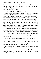there wassomething wrong with his body he'd kick the ever-loving shit out of them. He knew though, he knew what a lot of those damn bitchy gay boys were like, worshipping at the altar of youth and beauty without a single thought that maybe not everyone—

"Jesus, Eli, what did those frying pans ever do to you?"

Elispun around, hisstartled gaze landing on Hal Matheson. What the fuck was a shirtless Hal Matheson doing scratching his damn stomach in Eli's kitchen—really his hands were almost in his damn pubes considering the fucker hadn't even done up the placket of his button-fly jeans properly. Eli had just opened his mouth to ask Hal that very question when a breathless, barely dressed and clearly well-fucked Sasha tumbled though the connecting door leading from his kitchen to hers. Eli set the frying pan on the front left burner with perhaps a touch more force than strictly necessary. Christ, they both reeked of sex. No, that was wrong. Hal and he reeked of sex. Sasha's hair was wet, so she'd likely just taken a shower, while—

"Hal, what the fuck are you doing half naked in my Goddamn kitchen? And for God's sake, button up your damn pants. I really hate to bust your bubble, but I have no desire to see your cock. Save that for Sasha's bedroom."

Sasha narrowed her eyes at him, but didn't speak. Hal put a gentle hand on her shoulder, pulling her around to look at him. "Baby, I thought you said he'd be okay with this."

Tearing her laser-like gaze away from trying to carve curse words in his forehead must have been tough, but Eli had to give Sasha credit for pulling the task off with more aplomb than he'd have expected from a hussy with big purple hickeys decorating her throat. She turned a limpid, mush-filled look at Hal, pushing a hank of loose red hair out of her face.

"Yes, he will be okay with it. But Hal, honey, you were supposed to wait and come over with me."

Hal shrugged, pointing toward Eli. "It sounded like a flipping home invasion. I didn't want you to come over here to find your baby's daddy gutted in his kitchen or something."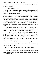Sasha was starting to look pissed, and curiously, that made Eli like Hal a little better, but still—

"Oi, Earthgirl… Hal Matheson?"

"Oi, Spaceman, Paulie Bellizi? Really? At least Hal didn'tsingle handedly set in motion the accidental impregnation of half the nubile females in the greater Syracuse area, including myself!"

A shocked cry from the hallway leading to the bedrooms on Eli's side of the house had the other three whipping their heads around. Paulie stood there, his face blanched bone white. It was a neat trick considering his normal olive complexion. A rough snort from Hal tore Eli's attention away from Paulie to regard the man leaning against the black tiled island in the center of Eli's kitchen. Hal wasn't paying Eli any mind though. He was standing with his arms folded across his muscular chest as he turned his head to glower hotly at Sasha.

"Dammit Sasha, everyone knows he was sick. The poor guy was in the hospital for a week after that incident, with double pneumonia and a case of that flu that killed a bunch of people. Show a little compassion."

Sasha bristled, clearly gearing up to light into Hal—who was obviously going to be a fixture if he had both the balls and the good sense to stand up to Sasha when she was being an idiot. Eli's estimation of him rose. Eli's Earthgirl had gone to a lot of trouble, having his mom watch Adrianna and hold on, Adrianna had been going to see one set of grandparents or the other at least once a week for the past six—

"You've been dating her for over six months, haven't you?"

Hal gave a curt nod and scrubbed a hand over his face before nodding toward something behind Eli.

"You better go get your man, bro. I think he might be heading for the hills"

Eli turned to spot the curve of Paulie's plush, sweatpants-covered bottom disappearing through his front door. He took off at a run, shouting back over his shoulder to Hal.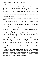"Go argue with her in her house. We can do brunch another time."

Then he was out the door, and he needn't have run at all, because Paulie was on his knees next to his car, ass in the air and head down by the pavement. Eli had learned something yesterday, so he walked around to the passenger side of the car, dropped down to lay full on the ground and snagged the car keys a second before Paulie managed to.

Big brown eyes blinked at him from under the opposite side of the car. "Give them back, please."

Eli bounced up to his feet, almost like yesterday. "Nope. Come back inside."

Paulie clambered to his feet, face still so pale Eli was terrified he would keel over at any second. He tried to sidle around the car to get close enough to catch Paulie if he went down, but every time he moved closer, Paulie moved further away.

"Oh come on, Paulie. Stop making me chase your sexy Italian ass around the car. Are you really going to blow me off because my best friend is a bitch when her feathers get ruffled?"

Paulie shrugged. Plucking at the edge of hisshirt with one hand, he stepped toward Eli. Holding out his hand, he spoke. "Not Italian—I'm Sicilian. Um. Please. Can I have my keys?"

The shake in his lightly-accented voice nearly made Eli cave, but he couldn't, not right now. If he gave in right now, Paulie would disappear. Eli just couldn't help being convinced they could maybe have something great. Maybe. But not if Paulie vanished into thin air. Eli made his voice low and a little mean.

"No. Not unless you look me in the eye and tell me why you want to leave."

Paulie shook his head, but Eli could tell he wasn't refusing so much as working up his courage to say what he thought had to be said. Mrs. Cohen from across the street was pretending it took longer than two fucking seconds to pick her paper up off her front porch though, and the curtain on the Grasses' front window kept twitching. Eli lost his patience.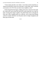"Come inside and talk to me, Paulie. I sent Sasha and her boyfriend, or whatever the hell Hal is, back over to her place. Come inside. I don't want this conversation to be TiVo'd by my damn nosey neighbors, okay?"

Paulie dropped his head again, nodding with a heavy reluctance that made Eli's teeth ache, but he stood still and let Eli walk around the car to take his hand. Twining their fingers together, Eli pulled Paulie back in through the front door while winging prayers up, sideways, and in great big freaking curlicues to thank whomever was the patron saint in charge of gorgeous and klutzy gay Sicilian men.

\*\*\*\*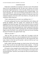### CHAPTER EIGHT

Paulie knew eventually he was going to come face to face with someone whose life he had damaged that day, but dear God in Heaven, he'd never envisioned it happening like this. To have his ugly mistake rise up to smack his face this hard—especially the morning after such a wonderful night—was nearly unbearable. Eli—why wasn't he looking at Paulie like he wasthe scum of the earth? If Paulie understood things correctly, he'd been the cause of an unplanned pregnancy that had set Eli's best friend on a life path she never would have chosen otherwise.

"I don't understand why you want to say anything to me. I—"

Eli turned, pushing the front door closed behind them with a thump, and turning the deadbolt. Then the younger man continued into the house, dragging Paulie behind him again. When they reached the kitchen, he pushed Paulie down onto one of the tall, dark wooden barstools arranged on the far side of the kitchen island-slash-breakfast bar. Paulie's plump ass hit the thick red leather cushion with an audible smacking noise. Eli used their still linked fingers to draw first Paulie's arm, and then his whole torso forward. Bending his head, Eli brushed a kiss against Paulie's lips.

"What are you doin—"

"Shut up. Don't you move, not a single inch. I'm going to lock the connecting doorso Sasha can't come swooping back in here in five minutes or so when she realizes what a nasty bitch she just was. She can grovel later, after I get a chance to chew her ass off in private—and not in the fun way I was chewing on your ass earlier."

Paulie couldn't hold silent though, not when he knew full well the fault was his. "But I was the one who made all those faulty condoms… I-I bet she never planned to be a mom when she was what, seventeen? Eighteen, maybe?"

Eli leaned in close enough his lips brushed Paulie's, and the touch sent shivers racing up Paulie's spine. "We are not having this conversation until I lock that damn door. Wait here. Do not make me chase you around Syracuse. Understand?"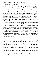With that, he slapped Paulie's car keys down on the gleaming black tiles of the counter top. Stalking off toward the slightly ajar door on the far side of the kitchen he still held Paulie firmly in place with the masterful tone of his voice.

"Look at the refrigerator and tell me what you see, Paulie."

Tearing his gaze away from the long line of Eli's body sentshards of glass tumbling to and fro in Paulie's stomach. Putting his attention anywhere else was so terrible and lovely when he knew full well he was never going to get to look at Eli like this again, not when Eli really understood what he'd done. The slope of Eli's naked shoulder was both balm and scourge to Paulie's eyes. He turned with more than a little relief to see what Eli demanded he observe. Nothing could hurt more than gazing on what Paulie wanted more than the svelte body he'd dreamed of having but never lived in, more than his next lungful of air. But he never really had Eli, either.

The gleaming silver of the fridge's surface was interrupted over and over. Too many badly drawn pictures to count, big, impossibly bright, magnetized letters and numbers holding them up. A cauldron of molten iron tipped, pouring itself through some crack in time and space to fill Paulie's entire gut with a burning the likes of which he'd never thought to feel this side of hell. He gasped and craned his stinging eyes back to Eli. Heart pounding as the pieces fell into place, he opened his mouth to speak but found his voice completely burned away.

\*\*\*\*

Eli's pulse pounded in his head as he pushed the connecting door carefully closed. He knew the second Paulie put it all together from the stricken gasp. Turning the lock—of course Sasha had a key, but the fact he'd locked it at all would give her pause, and possibly give Hal time to catch up to her fractious ass and pull her away until Eli opened the door of his own accord. He turned back to Paulie. Shit. The man's face was even whiter than before. Scratch that, it was almost green. He looked like he was about to lose the breakfast he hadn't had, all over the the pain-in-the-ass-to-keep-clean black tile counter that had taken Eli nearly three months to get done to his satisfaction.

"Look again, Paulie. You're not really seeing what's there."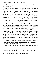Paulie turned huge, wounded looking brown eyes on him. "You're the father—I—you're bi?"

Eli shrugged, a painful heat starting to skitter over his skin. "Not the point. Sort of. I dunno, I guess I think it's kind of a spectrum. I—geez, it's embarrassing, okay? I wanted to have sex. Sasha wanted to have sex. But neither of us wanted the first time to be with some jerk who'd tell the whole school about it the next day. So it was supposed to be safe, right? We were best friends, and there was no chance of any weird confusion about that just 'cause we had sex. Even back then, I knew I liked guys. At eighteen my dick would stand up for a summer breeze though, so it wasn't difficult to perform. We used a condom—as Sasha so eloquently informed you—but it broke at a critical moment and we ended up with Adrianna."

Paulie's face looked more stricken than before, but Eli thought he knew why, and what's more, he was pretty sure he could show Paulie that he was wrong. He turned and stepped over to the fridge. Once there, Eli began to take down some of the things. Some of them were stuck there in haste over the past few years, some with tears and laughter, and some with careful precision and as wonderful surprises on special days. As he took them down, he described each one to Paulie. The picture from their first terrible Christmas after they found out Sasha was pregnant but before Adrianna came into their lives. They posed woodenly before a festive backdrop with his mum. Mum's smile was wide and genuinely pleased while the lines of strain showed clearly on his and Sasha's faces.

"My mum promised we'd want this stupid picture later. We were so scared, Paulie, you know? Nothing more than babies ourselves and there we were, about to have a baby of our own."

He snorted out a laugh, raking a hand through his hair as he set the picture directly in front of Paulie.

"We didn't have the money to get more than one big one printed. Mumhas it up in her living room. She tells all her friends that even though Sasha and I look like a couple, we aren't, and then she pats Sasha's belly in the picture and starts talking about how beautiful her granddaughter is."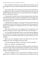Next, he pulled down the brown crayon scribble with a dizzying swirl of blue and green to one side. Adrianna had proudly declared the monstrosity dada.

"Did you know there's this really funny period of time when little kids call everything da-da? Well, at least that's what Adrianna did. God, once she stepped in dog shit and called it da-da. Iseriously think maybe she thought dada was a color and not a person."

Then he put the first Father's Day card, the irreplaceable one with the tiny hand and footprints inside, in Paulie's trembling hand. A smile tugged at the corner of his mouth as he remembered the stupid, worried look on Sasha's face when she gave it to him.

"I thought Sasha was going to cry that day. We'd just moved in here, and everything was still such a damn mess. Her folks put up the down payment for this place and cosigned so we could get the loan, but we wouldn't let them do anything else."

Paulie held the little card in his shaking hand, face tipped down. Eli growled, reaching out to place a finger under the man's chin and push up.

"We've got this big stupid album where we put stuff when the fridges get too crowded. At the very back are four pages we put in the day after Adrianna was born, the day we decided to keep her and try to make a family by our own standards."

Paulie's lips were trembling as hard as his hands, but he still wasn't speaking. Eli's heart was beating in long, slow thuds.

"One of those pages got filled up a month ago, on May seventeenth—"

Paulie's eyes widened. "Our graduation day."

Eli moved around the counter slowly, trailing one hand on the surface to cool his hot hands. When he reached Paulie, he pulled the stool out from the counter to wedge his body between the hard surface and the open spot he created by spreading Paulie's legs.

"The last two pages are for us to put pictures of Adrianna's other two daddies when we find them. I'm not saying your picture is going to go on that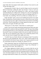page, Paulie. But I am saying it could, maybe, someday. If you want it to, and we give this thing a shot."

Grasping both of Paulie's hips, he sank his fingers into the sweet pad of flesh he found there, pulling the other man forward. "I have to warn you though—you don't get to meet Adrianna for a while. And, Sasha is pretty much the definition of a redhead. She's all flash, fire, and a lot of apologizing after the fact. You'll get used to that part. Well, you could get used to it. I— God, Paulie. Say something. Tell me if you think you could give this a try."

Paulie still didn't speak, and now the trembling had spread to his whole body. Eli pulled him a fraction farther forward, to where his ass wasn't all the way on the stool any more, right to where he had to lean into Eli or risk falling on the floor. Then he leaned down to whisper against the other man's mouth. Dirty tactics, but again, Eli didn't give a fuck.

"Please give us a shot, Paulie. I really think we could be great."

Paulie's arms moved, hands releasing the death grip they held on the sides of the barstool's cushion to slide up around Eli's neck. The rasp of skin sliding over skin made Eli draw in a fast, hard breath. Then Paulie whispered back to him, but Eli's heart was beating so loudly in his ears he couldn't tell what was said. This was too important to get wrong, so he crushed the protests of his pride and said what he thought Paulie might need to hear.

"I couldn't hear you, Paulie. My heart was beating too loud. I'm scared as shit that you said something like 'that's nice' which would actually be the nicest brushoff in the history of gay romance, but I'm gonna pretend you said yes, and maybe even gave me a rousing 'yes, please, let's try'."

Paulie smiled then, thank fuck. He lifted his head a fraction, pressing his lipsin a chaste, closed-mouth kiss against Eli's. "Isaid, 'Yes, I'd like that'—I don't know if it'll work—but I'd like to try."

Eli's fingers tightened on Paulie's hips for a second to hide the way his knees wobbled at the sound of that smoke-filled tenor promising to try. Then he lifted Paulie completely off the stool, spinning around to seat himself on the stool with Paulie draped over his lap. Then he got down to the business of proving to Paulie that he'd made a very wise decision. A long time and a lot of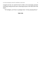swapped spit later, he raised his head to holler at the annoyingly persistent scratching coming from the door connecting his place to the other half of the duplex.

"Oi! Earthgirl, you'll have to apologize later. I'm busy playing Doctor."

# **THE END**